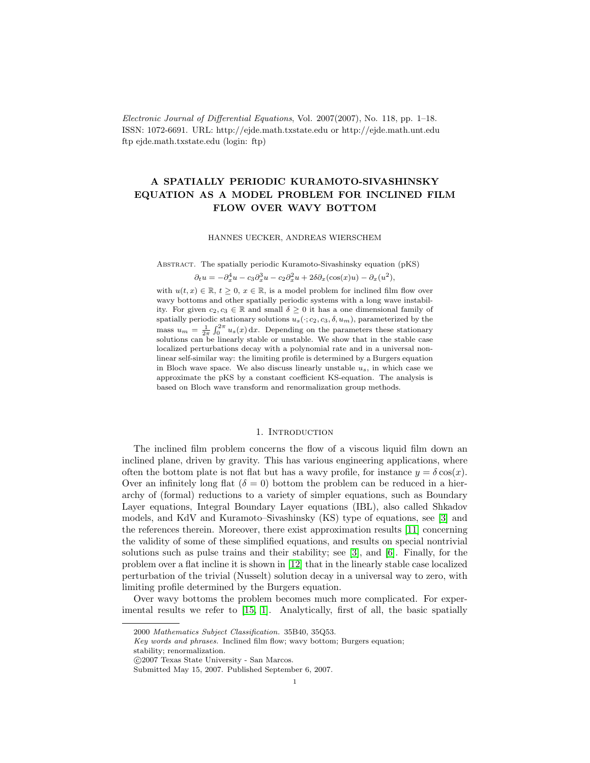Electronic Journal of Differential Equations, Vol. 2007(2007), No. 118, pp. 1–18. ISSN: 1072-6691. URL: http://ejde.math.txstate.edu or http://ejde.math.unt.edu ftp ejde.math.txstate.edu (login: ftp)

# A SPATIALLY PERIODIC KURAMOTO-SIVASHINSKY EQUATION AS A MODEL PROBLEM FOR INCLINED FILM FLOW OVER WAVY BOTTOM

#### HANNES UECKER, ANDREAS WIERSCHEM

Abstract. The spatially periodic Kuramoto-Sivashinsky equation (pKS)

 $\partial_t u = -\partial_x^4 u - c_3 \partial_x^3 u - c_2 \partial_x^2 u + 2\delta \partial_x (\cos(x)u) - \partial_x (u^2),$ 

with  $u(t, x) \in \mathbb{R}$ ,  $t \geq 0$ ,  $x \in \mathbb{R}$ , is a model problem for inclined film flow over wavy bottoms and other spatially periodic systems with a long wave instability. For given  $c_2, c_3 \in \mathbb{R}$  and small  $\delta \geq 0$  it has a one dimensional family of spatially periodic stationary solutions  $u_s(\cdot; c_2, c_3, \delta, u_m)$ , parameterized by the mass  $u_m = \frac{1}{2\pi} \int_0^{2\pi} u_s(x) dx$ . Depending on the parameters these stationary solutions can be linearly stable or unstable. We show that in the stable case localized perturbations decay with a polynomial rate and in a universal nonlinear self-similar way: the limiting profile is determined by a Burgers equation in Bloch wave space. We also discuss linearly unstable  $u_s$ , in which case we approximate the pKS by a constant coefficient KS-equation. The analysis is based on Bloch wave transform and renormalization group methods.

#### 1. INTRODUCTION

The inclined film problem concerns the flow of a viscous liquid film down an inclined plane, driven by gravity. This has various engineering applications, where often the bottom plate is not flat but has a wavy profile, for instance  $y = \delta \cos(x)$ . Over an infinitely long flat  $(\delta = 0)$  bottom the problem can be reduced in a hierarchy of (formal) reductions to a variety of simpler equations, such as Boundary Layer equations, Integral Boundary Layer equations (IBL), also called Shkadov models, and KdV and Kuramoto–Sivashinsky (KS) type of equations, see [\[3\]](#page-17-0) and the references therein. Moreover, there exist approximation results [\[11\]](#page-17-1) concerning the validity of some of these simplified equations, and results on special nontrivial solutions such as pulse trains and their stability; see [\[3\]](#page-17-0), and [\[6\]](#page-17-2). Finally, for the problem over a flat incline it is shown in [\[12\]](#page-17-3) that in the linearly stable case localized perturbation of the trivial (Nusselt) solution decay in a universal way to zero, with limiting profile determined by the Burgers equation.

Over wavy bottoms the problem becomes much more complicated. For experimental results we refer to [\[15,](#page-17-4) [1\]](#page-17-5). Analytically, first of all, the basic spatially

<sup>2000</sup> Mathematics Subject Classification. 35B40, 35Q53.

Key words and phrases. Inclined film flow; wavy bottom; Burgers equation;

stability; renormalization.

c 2007 Texas State University - San Marcos.

Submitted May 15, 2007. Published September 6, 2007.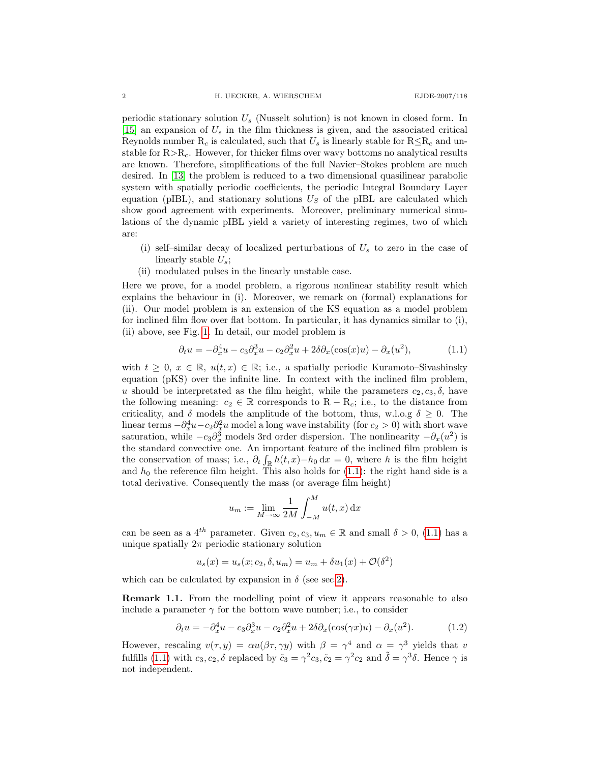periodic stationary solution  $U_s$  (Nusselt solution) is not known in closed form. In  $[15]$  an expansion of  $U_s$  in the film thickness is given, and the associated critical Reynolds number R<sub>c</sub> is calculated, such that  $U_s$  is linearly stable for  $R\leq R_c$  and unstable for  $R > R<sub>c</sub>$ . However, for thicker films over wavy bottoms no analytical results are known. Therefore, simplifications of the full Navier–Stokes problem are much desired. In [\[13\]](#page-17-6) the problem is reduced to a two dimensional quasilinear parabolic system with spatially periodic coefficients, the periodic Integral Boundary Layer equation (pIBL), and stationary solutions  $U<sub>S</sub>$  of the pIBL are calculated which show good agreement with experiments. Moreover, preliminary numerical simulations of the dynamic pIBL yield a variety of interesting regimes, two of which are:

- (i) self-similar decay of localized perturbations of  $U_s$  to zero in the case of linearly stable  $U_s$ ;
- (ii) modulated pulses in the linearly unstable case.

Here we prove, for a model problem, a rigorous nonlinear stability result which explains the behaviour in (i). Moreover, we remark on (formal) explanations for (ii). Our model problem is an extension of the KS equation as a model problem for inclined film flow over flat bottom. In particular, it has dynamics similar to (i), (ii) above, see Fig. [1.](#page-2-0) In detail, our model problem is

<span id="page-1-0"></span>
$$
\partial_t u = -\partial_x^4 u - c_3 \partial_x^3 u - c_2 \partial_x^2 u + 2\delta \partial_x(\cos(x)u) - \partial_x(u^2),\tag{1.1}
$$

with  $t \geq 0, x \in \mathbb{R}, u(t,x) \in \mathbb{R}$ ; i.e., a spatially periodic Kuramoto–Sivashinsky equation (pKS) over the infinite line. In context with the inclined film problem, u should be interpretated as the film height, while the parameters  $c_2, c_3, \delta$ , have the following meaning:  $c_2 \in \mathbb{R}$  corresponds to  $R - R_c$ ; i.e., to the distance from criticality, and  $\delta$  models the amplitude of the bottom, thus, w.l.o.g  $\delta \geq 0$ . The linear terms  $-\partial_x^4 u - c_2 \partial_x^2 u$  model a long wave instability (for  $c_2 > 0$ ) with short wave saturation, while  $-c_3\partial_x^3$  models 3rd order dispersion. The nonlinearity  $-\partial_x(u^2)$  is the standard convective one. An important feature of the inclined film problem is the conservation of mass; i.e.,  $\partial_t \int_{\mathbb{R}} h(t,x) - h_0 \, dx = 0$ , where h is the film height and  $h_0$  the reference film height. This also holds for  $(1.1)$ : the right hand side is a total derivative. Consequently the mass (or average film height)

$$
u_m := \lim_{M \to \infty} \frac{1}{2M} \int_{-M}^{M} u(t, x) \,dx
$$

can be seen as a 4<sup>th</sup> parameter. Given  $c_2, c_3, u_m \in \mathbb{R}$  and small  $\delta > 0$ , [\(1.1\)](#page-1-0) has a unique spatially  $2\pi$  periodic stationary solution

$$
u_s(x) = u_s(x; c_2, \delta, u_m) = u_m + \delta u_1(x) + \mathcal{O}(\delta^2)
$$

which can be calculated by expansion in  $\delta$  (see sec[.2\)](#page-5-0).

**Remark 1.1.** From the modelling point of view it appears reasonable to also include a parameter  $\gamma$  for the bottom wave number; i.e., to consider

$$
\partial_t u = -\partial_x^4 u - c_3 \partial_x^3 u - c_2 \partial_x^2 u + 2\delta \partial_x (\cos(\gamma x)u) - \partial_x (u^2). \tag{1.2}
$$

However, rescaling  $v(\tau, y) = \alpha u(\beta \tau, \gamma y)$  with  $\beta = \gamma^4$  and  $\alpha = \gamma^3$  yields that v fulfills [\(1.1\)](#page-1-0) with  $c_3, c_2, \delta$  replaced by  $\tilde{c}_3 = \gamma^2 c_3$ ,  $\tilde{c}_2 = \gamma^2 c_2$  and  $\tilde{\delta} = \gamma^3 \delta$ . Hence  $\gamma$  is not independent.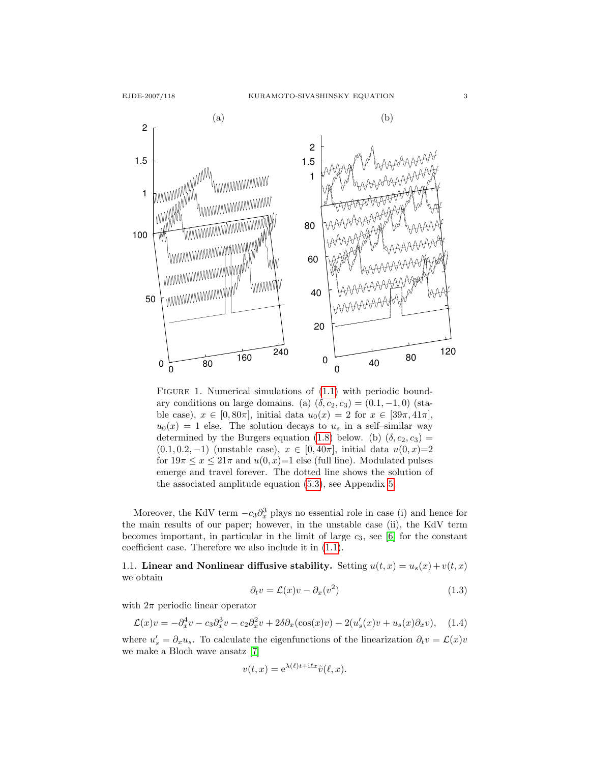2

50

100

1

1.5



<span id="page-2-0"></span>FIGURE 1. Numerical simulations of  $(1.1)$  with periodic boundary conditions on large domains. (a)  $(\delta, c_2, c_3) = (0.1, -1, 0)$  (stable case),  $x \in [0, 80\pi]$ , initial data  $u_0(x) = 2$  for  $x \in [39\pi, 41\pi]$ ,  $u_0(x) = 1$  else. The solution decays to  $u_s$  in a self-similar way determined by the Burgers equation [\(1.8\)](#page-4-0) below. (b)  $(\delta, c_2, c_3)$  =  $(0.1, 0.2, -1)$  (unstable case),  $x \in [0, 40\pi]$ , initial data  $u(0, x)=2$ for  $19\pi \leq x \leq 21\pi$  and  $u(0, x)=1$  else (full line). Modulated pulses emerge and travel forever. The dotted line shows the solution of the associated amplitude equation [\(5.3\)](#page-15-0), see Appendix [5.](#page-15-1)

Moreover, the KdV term  $-c_3\partial_x^3$  plays no essential role in case (i) and hence for the main results of our paper; however, in the unstable case (ii), the KdV term becomes important, in particular in the limit of large  $c_3$ , see [\[6\]](#page-17-2) for the constant coefficient case. Therefore we also include it in [\(1.1\)](#page-1-0).

<span id="page-2-1"></span>1.1. Linear and Nonlinear diffusive stability. Setting  $u(t, x) = u_s(x) + v(t, x)$ we obtain

$$
\partial_t v = \mathcal{L}(x)v - \partial_x(v^2) \tag{1.3}
$$

with  $2\pi$  periodic linear operator

$$
\mathcal{L}(x)v = -\partial_x^4 v - c_3 \partial_x^3 v - c_2 \partial_x^2 v + 2\delta \partial_x(\cos(x)v) - 2(u_s'(x)v + u_s(x)\partial_x v), \quad (1.4)
$$

where  $u'_{s} = \partial_{x}u_{s}$ . To calculate the eigenfunctions of the linearization  $\partial_{t}v = \mathcal{L}(x)v$ we make a Bloch wave ansatz [\[7\]](#page-17-7)

$$
v(t, x) = e^{\lambda(\ell)t + i\ell x} \tilde{v}(\ell, x).
$$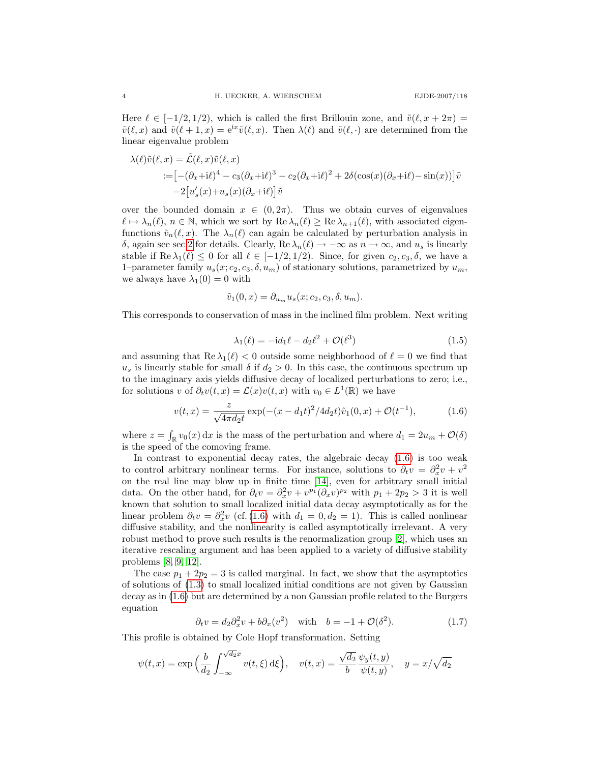Here  $\ell \in [-1/2, 1/2)$ , which is called the first Brillouin zone, and  $\tilde{v}(\ell, x + 2\pi) =$  $\tilde{v}(\ell, x)$  and  $\tilde{v}(\ell + 1, x) = e^{ix}\tilde{v}(\ell, x)$ . Then  $\lambda(\ell)$  and  $\tilde{v}(\ell, \cdot)$  are determined from the linear eigenvalue problem

$$
\lambda(\ell)\tilde{v}(\ell,x) = \tilde{\mathcal{L}}(\ell,x)\tilde{v}(\ell,x) \n:= \left[ -(\partial_x + i\ell)^4 - c_3(\partial_x + i\ell)^3 - c_2(\partial_x + i\ell)^2 + 2\delta(\cos(x)(\partial_x + i\ell) - \sin(x)) \right] \tilde{v} \n-2\left[ u_s'(x) + u_s(x)(\partial_x + i\ell) \right] \tilde{v}
$$

over the bounded domain  $x \in (0, 2\pi)$ . Thus we obtain curves of eigenvalues  $\ell \mapsto \lambda_n(\ell), n \in \mathbb{N}$ , which we sort by  $\text{Re }\lambda_n(\ell) \geq \text{Re }\lambda_{n+1}(\ell)$ , with associated eigenfunctions  $\tilde{v}_n(\ell, x)$ . The  $\lambda_n(\ell)$  can again be calculated by perturbation analysis in δ, again see sec[.2](#page-5-0) for details. Clearly, Re  $\lambda_n(\ell)$  → −∞ as  $n \to \infty$ , and  $u_s$  is linearly stable if Re  $\lambda_1(\ell) \leq 0$  for all  $\ell \in [-1/2, 1/2)$ . Since, for given  $c_2, c_3, \delta$ , we have a 1–parameter family  $u_s(x; c_2, c_3, \delta, u_m)$  of stationary solutions, parametrized by  $u_m$ , we always have  $\lambda_1(0) = 0$  with

$$
\tilde{v}_1(0,x) = \partial_{u_m} u_s(x;c_2,c_3,\delta,u_m).
$$

<span id="page-3-2"></span>This corresponds to conservation of mass in the inclined film problem. Next writing

<span id="page-3-0"></span>
$$
\lambda_1(\ell) = -id_1 \ell - d_2 \ell^2 + \mathcal{O}(\ell^3)
$$
\n(1.5)

and assuming that  $\text{Re }\lambda_1(\ell) < 0$  outside some neighborhood of  $\ell = 0$  we find that  $u<sub>s</sub>$  is linearly stable for small  $\delta$  if  $d_2 > 0$ . In this case, the continuous spectrum up to the imaginary axis yields diffusive decay of localized perturbations to zero; i.e., for solutions v of  $\partial_t v(t,x) = \mathcal{L}(x)v(t,x)$  with  $v_0 \in L^1(\mathbb{R})$  we have

$$
v(t,x) = \frac{z}{\sqrt{4\pi d_2 t}} \exp(-(x - d_1 t)^2 / 4d_2 t)\tilde{v}_1(0,x) + \mathcal{O}(t^{-1}),\tag{1.6}
$$

where  $z = \int_{\mathbb{R}} v_0(x) dx$  is the mass of the perturbation and where  $d_1 = 2u_m + \mathcal{O}(\delta)$ is the speed of the comoving frame.

In contrast to exponential decay rates, the algebraic decay  $(1.6)$  is too weak to control arbitrary nonlinear terms. For instance, solutions to  $\partial_t v = \partial_x^2 v + v^2$ on the real line may blow up in finite time [\[14\]](#page-17-8), even for arbitrary small initial data. On the other hand, for  $\partial_t v = \partial_x^2 v + v^{p_1} (\partial_x v)^{p_2}$  with  $p_1 + 2p_2 > 3$  it is well known that solution to small localized initial data decay asymptotically as for the linear problem  $\partial_t v = \partial_x^2 v$  (cf. [\(1.6\)](#page-3-0) with  $d_1 = 0, d_2 = 1$ ). This is called nonlinear diffusive stability, and the nonlinearity is called asymptotically irrelevant. A very robust method to prove such results is the renormalization group [\[2\]](#page-17-9), which uses an iterative rescaling argument and has been applied to a variety of diffusive stability problems [\[8,](#page-17-10) [9,](#page-17-11) [12\]](#page-17-3).

The case  $p_1 + 2p_2 = 3$  is called marginal. In fact, we show that the asymptotics of solutions of [\(1.3\)](#page-2-1) to small localized initial conditions are not given by Gaussian decay as in [\(1.6\)](#page-3-0) but are determined by a non Gaussian profile related to the Burgers equation

<span id="page-3-1"></span>
$$
\partial_t v = d_2 \partial_x^2 v + b \partial_x (v^2) \quad \text{with} \quad b = -1 + \mathcal{O}(\delta^2). \tag{1.7}
$$

This profile is obtained by Cole Hopf transformation. Setting

$$
\psi(t,x)=\exp\Big(\frac{b}{d_2}\int_{-\infty}^{\sqrt{d_2}x}v(t,\xi)\,\mathrm{d}\xi\Big),\quad v(t,x)=\frac{\sqrt{d_2}}{b}\frac{\psi_y(t,y)}{\psi(t,y)},\quad y=x/\sqrt{d_2}
$$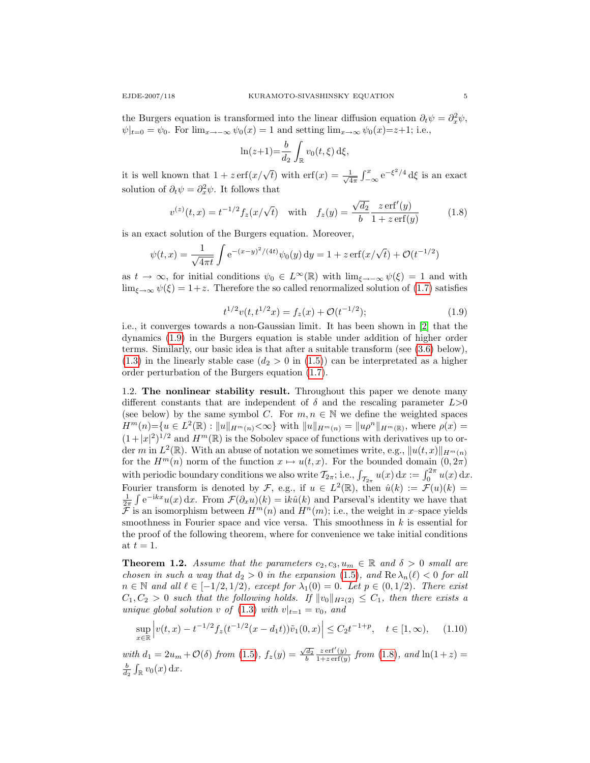the Burgers equation is transformed into the linear diffusion equation  $\partial_t \psi = \partial_x^2 \psi$ ,  $\psi|_{t=0} = \psi_0$ . For  $\lim_{x \to -\infty} \psi_0(x) = 1$  and setting  $\lim_{x \to \infty} \psi_0(x) = z + 1$ ; i.e.,

<span id="page-4-0"></span>
$$
\ln(z+1) = \frac{b}{d_2} \int_{\mathbb{R}} v_0(t,\xi) \,d\xi,
$$

it is well known that  $1 + z \operatorname{erf}(x/\sqrt{t})$  with  $\operatorname{erf}(x) = \frac{1}{\sqrt{t}}$  $\frac{1}{4\pi} \int_{-\infty}^{x} e^{-\xi^2/4} d\xi$  is an exact solution of  $\partial_t \psi = \partial_x^2 \psi$ . It follows that

$$
v^{(z)}(t,x) = t^{-1/2} f_z(x/\sqrt{t}) \quad \text{with} \quad f_z(y) = \frac{\sqrt{d_2}}{b} \frac{z \operatorname{erf}'(y)}{1 + z \operatorname{erf}(y)} \tag{1.8}
$$

is an exact solution of the Burgers equation. Moreover,

$$
\psi(t,x) = \frac{1}{\sqrt{4\pi t}} \int e^{-(x-y)^2/(4t)} \psi_0(y) \, dy = 1 + z \operatorname{erf}(x/\sqrt{t}) + \mathcal{O}(t^{-1/2})
$$

<span id="page-4-1"></span>as  $t \to \infty$ , for initial conditions  $\psi_0 \in L^{\infty}(\mathbb{R})$  with  $\lim_{\xi \to -\infty} \psi(\xi) = 1$  and with  $\lim_{\xi \to \infty} \psi(\xi) = 1+z$ . Therefore the so called renormalized solution of [\(1.7\)](#page-3-1) satisfies

$$
t^{1/2}v(t, t^{1/2}x) = f_z(x) + \mathcal{O}(t^{-1/2});
$$
\n(1.9)

i.e., it converges towards a non-Gaussian limit. It has been shown in [\[2\]](#page-17-9) that the dynamics [\(1.9\)](#page-4-1) in the Burgers equation is stable under addition of higher order terms. Similarly, our basic idea is that after a suitable transform (see [\(3.6\)](#page-8-0) below),  $(1.3)$  in the linearly stable case  $(d_2 > 0 \text{ in } (1.5))$  $(d_2 > 0 \text{ in } (1.5))$  $(d_2 > 0 \text{ in } (1.5))$  can be interpretated as a higher order perturbation of the Burgers equation [\(1.7\)](#page-3-1).

1.2. The nonlinear stability result. Throughout this paper we denote many different constants that are independent of  $\delta$  and the rescaling parameter  $L>0$ (see below) by the same symbol C. For  $m, n \in \mathbb{N}$  we define the weighted spaces  $H^m(n) = \{ u \in L^2(\mathbb{R}) : ||u||_{H^m(n)} < \infty \}$  with  $||u||_{H^m(n)} = ||u\rho^n||_{H^m(\mathbb{R})}$ , where  $\rho(x) =$  $(1+|x|^2)^{1/2}$  and  $H^m(\mathbb{R})$  is the Sobolev space of functions with derivatives up to order m in  $L^2(\mathbb{R})$ . With an abuse of notation we sometimes write, e.g.,  $||u(t,x)||_{H^m(n)}$ for the  $H^m(n)$  norm of the function  $x \mapsto u(t, x)$ . For the bounded domain  $(0, 2\pi)$ with periodic boundary conditions we also write  $\mathcal{T}_{2\pi}$ ; i.e.,  $\int_{\mathcal{T}_{2\pi}} u(x) dx := \int_0^{2\pi} u(x) dx$ . Fourier transform is denoted by F, e.g., if  $u \in L^2(\mathbb{R})$ , then  $\hat{u}(k) := \mathcal{F}(u)(k) =$  $\frac{1}{2\pi} \int e^{-ikx} u(x) dx$ . From  $\mathcal{F}(\partial_x u)(k) = ik\hat{u}(k)$  and Parseval's identity we have that  $\mathcal F$  is an isomorphism between  $H^m(n)$  and  $H^n(m)$ ; i.e., the weight in x-space yields smoothness in Fourier space and vice versa. This smoothness in  $k$  is essential for the proof of the following theorem, where for convenience we take initial conditions at  $t = 1$ .

<span id="page-4-2"></span>**Theorem 1.2.** Assume that the parameters  $c_2, c_3, u_m \in \mathbb{R}$  and  $\delta > 0$  small are chosen in such a way that  $d_2 > 0$  in the expansion [\(1.5\)](#page-3-2), and  $\text{Re }\lambda_n(\ell) < 0$  for all  $n \in \mathbb{N}$  and all  $\ell \in [-1/2, 1/2)$ , except for  $\lambda_1(0) = 0$ . Let  $p \in (0, 1/2)$ . There exist  $C_1, C_2 > 0$  such that the following holds. If  $||v_0||_{H^2(2)} \leq C_1$ , then there exists a unique global solution v of  $(1.3)$  with  $v|_{t=1} = v_0$ , and

$$
\sup_{x \in \mathbb{R}} \left| v(t, x) - t^{-1/2} f_z(t^{-1/2}(x - d_1 t)) \tilde{v}_1(0, x) \right| \le C_2 t^{-1 + p}, \quad t \in [1, \infty), \quad (1.10)
$$

with  $d_1 = 2u_m + \mathcal{O}(\delta)$  from [\(1.5\)](#page-3-2),  $f_z(y) = \frac{\sqrt{d_2}}{b}$  $z \operatorname{erf}'(y)$  $\frac{z \text{ err}(y)}{1+z \text{ erf}(y)}$  from  $(1.8)$ , and  $\ln(1+z) =$  $\frac{b}{d_2} \int_{\mathbb{R}} v_0(x) \, \mathrm{d}x.$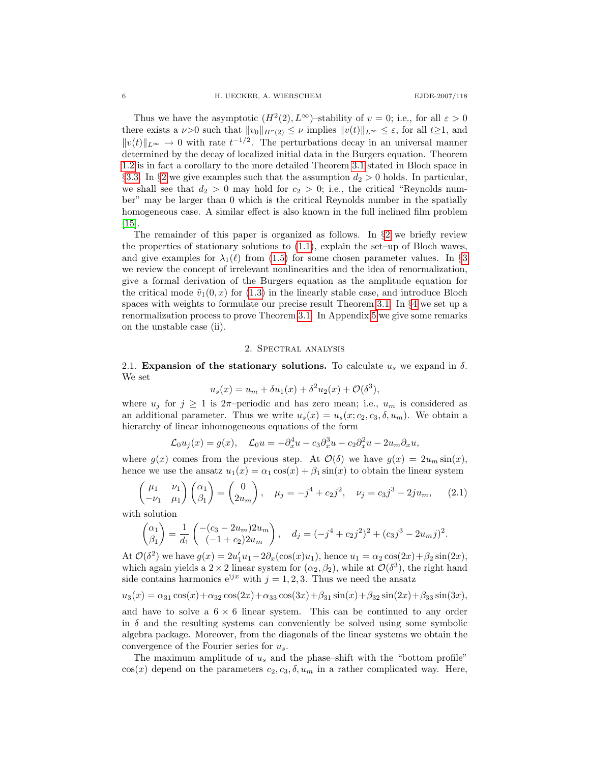Thus we have the asymptotic  $(H^2(2), L^{\infty})$ -stability of  $v = 0$ ; i.e., for all  $\varepsilon > 0$ there exists a  $\nu>0$  such that  $||v_0||_{H^r(2)} \leq \nu$  implies  $||v(t)||_{L^{\infty}} \leq \varepsilon$ , for all  $t\geq 1$ , and  $||v(t)||_{L^{\infty}} \to 0$  with rate  $t^{-1/2}$ . The perturbations decay in an universal manner determined by the decay of localized initial data in the Burgers equation. Theorem [1.2](#page-4-2) is in fact a corollary to the more detailed Theorem [3.1](#page-11-0) stated in Bloch space in §[3.3.](#page-10-0) In §[2](#page-5-0) we give examples such that the assumption  $d_2 > 0$  holds. In particular, we shall see that  $d_2 > 0$  may hold for  $c_2 > 0$ ; i.e., the critical "Reynolds number" may be larger than 0 which is the critical Reynolds number in the spatially homogeneous case. A similar effect is also known in the full inclined film problem [\[15\]](#page-17-4).

The remainder of this paper is organized as follows. In §[2](#page-5-0) we briefly review the properties of stationary solutions to  $(1.1)$ , explain the set–up of Bloch waves, and give examples for  $\lambda_1(\ell)$  from [\(1.5\)](#page-3-2) for some chosen parameter values. In §[3](#page-7-0) we review the concept of irrelevant nonlinearities and the idea of renormalization, give a formal derivation of the Burgers equation as the amplitude equation for the critical mode  $\tilde{v}_1(0, x)$  for [\(1.3\)](#page-2-1) in the linearly stable case, and introduce Bloch spaces with weights to formulate our precise result Theorem [3.1.](#page-11-0) In §[4](#page-11-1) we set up a renormalization process to prove Theorem [3.1.](#page-11-0) In Appendix [5](#page-15-1) we give some remarks on the unstable case (ii).

### 2. Spectral analysis

<span id="page-5-0"></span>2.1. Expansion of the stationary solutions. To calculate  $u_s$  we expand in  $\delta$ . We set

$$
u_s(x) = u_m + \delta u_1(x) + \delta^2 u_2(x) + \mathcal{O}(\delta^3),
$$

where  $u_j$  for  $j \geq 1$  is  $2\pi$ -periodic and has zero mean; i.e.,  $u_m$  is considered as an additional parameter. Thus we write  $u_s(x) = u_s(x; c_2, c_3, \delta, u_m)$ . We obtain a hierarchy of linear inhomogeneous equations of the form

$$
\mathcal{L}_0 u_j(x) = g(x), \quad \mathcal{L}_0 u = -\partial_x^4 u - c_3 \partial_x^3 u - c_2 \partial_x^2 u - 2u_m \partial_x u,
$$

where  $g(x)$  comes from the previous step. At  $\mathcal{O}(\delta)$  we have  $g(x) = 2u_m \sin(x)$ , hence we use the ansatz  $u_1(x) = \alpha_1 \cos(x) + \beta_1 \sin(x)$  to obtain the linear system

$$
\begin{pmatrix} \mu_1 & \nu_1 \\ -\nu_1 & \mu_1 \end{pmatrix} \begin{pmatrix} \alpha_1 \\ \beta_1 \end{pmatrix} = \begin{pmatrix} 0 \\ 2u_m \end{pmatrix}, \quad \mu_j = -j^4 + c_2 j^2, \quad \nu_j = c_3 j^3 - 2ju_m, \quad (2.1)
$$

with solution

$$
\begin{pmatrix} \alpha_1 \\ \beta_1 \end{pmatrix} = \frac{1}{d_1} \begin{pmatrix} -(c_3 - 2u_m)2u_m \\ (-1 + c_2)2u_m \end{pmatrix}, \quad d_j = (-j^4 + c_2j^2)^2 + (c_3j^3 - 2u_mj)^2.
$$

At  $\mathcal{O}(\delta^2)$  we have  $g(x) = 2u'_1u_1 - 2\partial_x(\cos(x)u_1)$ , hence  $u_1 = \alpha_2 \cos(2x) + \beta_2 \sin(2x)$ , which again yields a  $2 \times 2$  linear system for  $(\alpha_2, \beta_2)$ , while at  $\mathcal{O}(\delta^3)$ , the right hand side contains harmonics  $e^{ijx}$  with  $j = 1, 2, 3$ . Thus we need the ansatz

$$
u_3(x) = \alpha_{31}\cos(x) + \alpha_{32}\cos(2x) + \alpha_{33}\cos(3x) + \beta_{31}\sin(x) + \beta_{32}\sin(2x) + \beta_{33}\sin(3x),
$$

and have to solve a  $6 \times 6$  linear system. This can be continued to any order in  $\delta$  and the resulting systems can conveniently be solved using some symbolic algebra package. Moreover, from the diagonals of the linear systems we obtain the convergence of the Fourier series for  $u_s$ .

The maximum amplitude of  $u_s$  and the phase–shift with the "bottom profile"  $\cos(x)$  depend on the parameters  $c_2, c_3, \delta, u_m$  in a rather complicated way. Here,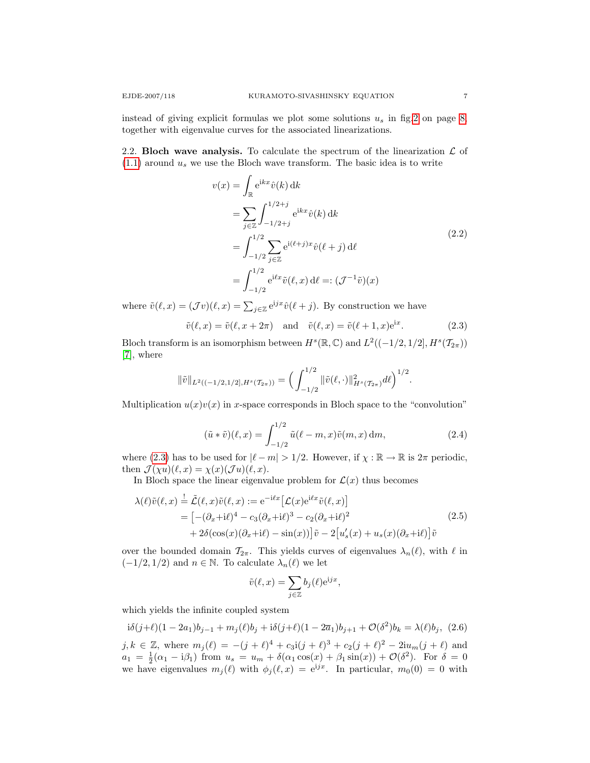instead of giving explicit formulas we plot some solutions  $u_s$  in fig[.2](#page-7-1) on page [8,](#page-7-1) together with eigenvalue curves for the associated linearizations.

2.2. Bloch wave analysis. To calculate the spectrum of the linearization  $\mathcal L$  of  $(1.1)$  around  $u_s$  we use the Bloch wave transform. The basic idea is to write

$$
v(x) = \int_{\mathbb{R}} e^{ikx} \hat{v}(k) dk
$$
  
= 
$$
\sum_{j \in \mathbb{Z}} \int_{-1/2+j}^{1/2+j} e^{ikx} \hat{v}(k) dk
$$
  
= 
$$
\int_{-1/2}^{1/2} \sum_{j \in \mathbb{Z}} e^{i(\ell+j)x} \hat{v}(\ell+j) d\ell
$$
  
= 
$$
\int_{-1/2}^{1/2} e^{i\ell x} \tilde{v}(\ell, x) d\ell =: (\mathcal{J}^{-1}\tilde{v})(x)
$$
 (2.2)

where  $\tilde{v}(\ell, x) = (\mathcal{J}v)(\ell, x) = \sum_{j \in \mathbb{Z}} e^{ijx} \hat{v}(\ell + j)$ . By construction we have

<span id="page-6-0"></span>
$$
\tilde{v}(\ell, x) = \tilde{v}(\ell, x + 2\pi) \quad \text{and} \quad \tilde{v}(\ell, x) = \tilde{v}(\ell + 1, x)e^{ix}.
$$
 (2.3)

Bloch transform is an isomorphism between  $H<sup>s</sup>(\mathbb{R}, \mathbb{C})$  and  $L<sup>2</sup>((-1/2, 1/2], H<sup>s</sup>(\mathcal{T}_{2\pi}))$ [\[7\]](#page-17-7), where

$$
\|\tilde{v}\|_{L^2((-1/2,1/2],H^s(\mathcal{T}_{2\pi}))}=\Big(\int_{-1/2}^{1/2}\|\tilde{v}(\ell,\cdot)\|_{H^s(\mathcal{T}_{2\pi})}^2d\ell\Big)^{1/2}.
$$

Multiplication  $u(x)v(x)$  in x-space corresponds in Bloch space to the "convolution"

$$
(\tilde{u} * \tilde{v})(\ell, x) = \int_{-1/2}^{1/2} \tilde{u}(\ell - m, x)\tilde{v}(m, x) dm,
$$
\n(2.4)

where [\(2.3\)](#page-6-0) has to be used for  $|\ell - m| > 1/2$ . However, if  $\chi : \mathbb{R} \to \mathbb{R}$  is  $2\pi$  periodic, then  $\mathcal{J}(\chi u)(\ell, x) = \chi(x)(\mathcal{J} u)(\ell, x).$ 

In Bloch space the linear eigenvalue problem for  $\mathcal{L}(x)$  thus becomes

$$
\lambda(\ell)\tilde{v}(\ell,x) \stackrel{!}{=} \tilde{\mathcal{L}}(\ell,x)\tilde{v}(\ell,x) := e^{-i\ell x} \left[ \mathcal{L}(x)e^{i\ell x}\tilde{v}(\ell,x) \right]
$$
  
\n
$$
= \left[ -(\partial_x + i\ell)^4 - c_3(\partial_x + i\ell)^3 - c_2(\partial_x + i\ell)^2 + 2\delta(\cos(x)(\partial_x + i\ell) - \sin(x)) \right] \tilde{v} - 2 \left[ u'_s(x) + u_s(x)(\partial_x + i\ell) \right] \tilde{v}
$$
\n(2.5)

over the bounded domain  $\mathcal{T}_{2\pi}$ . This yields curves of eigenvalues  $\lambda_n(\ell)$ , with  $\ell$  in  $(-1/2, 1/2)$  and  $n \in \mathbb{N}$ . To calculate  $\lambda_n(\ell)$  we let

<span id="page-6-1"></span>
$$
\tilde{v}(\ell, x) = \sum_{j \in \mathbb{Z}} b_j(\ell) e^{ijx},
$$

which yields the infinite coupled system

$$
i\delta(j+\ell)(1-2a_1)b_{j-1} + m_j(\ell)b_j + i\delta(j+\ell)(1-2\overline{a}_1)b_{j+1} + \mathcal{O}(\delta^2)b_k = \lambda(\ell)b_j, (2.6)
$$
  

$$
j, k \in \mathbb{Z}, \text{ where } m_j(\ell) = -(j+\ell)^4 + c_3i(j+\ell)^3 + c_2(j+\ell)^2 - 2iu_m(j+\ell) \text{ and}
$$
  

$$
a_1 = \frac{1}{2}(\alpha_1 - i\beta_1) \text{ from } u_s = u_m + \delta(\alpha_1 \cos(x) + \beta_1 \sin(x)) + \mathcal{O}(\delta^2). \text{ For } \delta = 0
$$
  
we have eigenvalues  $m_j(\ell)$  with  $\phi_j(\ell, x) = e^{ijx}$ . In particular,  $m_0(0) = 0$  with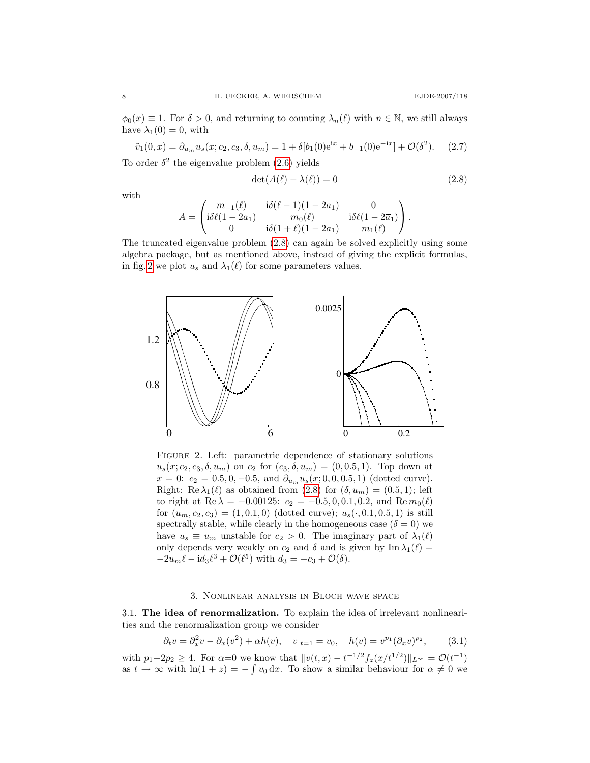$\phi_0(x) \equiv 1$ . For  $\delta > 0$ , and returning to counting  $\lambda_n(\ell)$  with  $n \in \mathbb{N}$ , we still always have  $\lambda_1(0) = 0$ , with

 $\tilde{v}_1(0,x) = \partial_{u_m} u_s(x;c_2, c_3, \delta, u_m) = 1 + \delta[b_1(0)e^{ix} + b_{-1}(0)e^{-ix}] + \mathcal{O}(\delta^2)$  $(2.7)$ 

To order  $\delta^2$  the eigenvalue problem [\(2.6\)](#page-6-1) yields

<span id="page-7-2"></span>
$$
\det(A(\ell) - \lambda(\ell)) = 0 \tag{2.8}
$$

with

$$
A = \begin{pmatrix} m_{-1}(\ell) & i\delta(\ell-1)(1-2\overline{a}_1) & 0 \\ i\delta\ell(1-2a_1) & m_0(\ell) & i\delta\ell(1-2\overline{a}_1) \\ 0 & i\delta(1+\ell)(1-2a_1) & m_1(\ell) \end{pmatrix}.
$$

The truncated eigenvalue problem [\(2.8\)](#page-7-2) can again be solved explicitly using some algebra package, but as mentioned above, instead of giving the explicit formulas, in fig. [2](#page-7-1) we plot  $u_s$  and  $\lambda_1(\ell)$  for some parameters values.



<span id="page-7-1"></span>FIGURE 2. Left: parametric dependence of stationary solutions  $u_s(x; c_2, c_3, \delta, u_m)$  on  $c_2$  for  $(c_3, \delta, u_m) = (0, 0.5, 1)$ . Top down at  $x = 0: c_2 = 0.5, 0, -0.5, \text{ and } \partial_{u_m} u_s(x; 0, 0, 0.5, 1)$  (dotted curve). Right: Re  $\lambda_1(\ell)$  as obtained from [\(2.8\)](#page-7-2) for  $(\delta, u_m) = (0.5, 1)$ ; left to right at Re  $\lambda = -0.00125$ :  $c_2 = -0.5, 0, 0.1, 0.2,$  and Re  $m_0(\ell)$ for  $(u_m, c_2, c_3) = (1, 0.1, 0)$  (dotted curve);  $u_s(\cdot, 0.1, 0.5, 1)$  is still spectrally stable, while clearly in the homogeneous case ( $\delta = 0$ ) we have  $u_s \equiv u_m$  unstable for  $c_2 > 0$ . The imaginary part of  $\lambda_1(\ell)$ only depends very weakly on  $c_2$  and  $\delta$  and is given by Im  $\lambda_1(\ell) =$  $-2u_m\ell - \mathrm{id}_3\ell^3 + \mathcal{O}(\ell^5)$  with  $d_3 = -c_3 + \mathcal{O}(\delta)$ .

### <span id="page-7-3"></span>3. Nonlinear analysis in Bloch wave space

<span id="page-7-4"></span><span id="page-7-0"></span>3.1. The idea of renormalization. To explain the idea of irrelevant nonlinearities and the renormalization group we consider

$$
\partial_t v = \partial_x^2 v - \partial_x (v^2) + \alpha h(v), \quad v|_{t=1} = v_0, \quad h(v) = v^{p_1} (\partial_x v)^{p_2}, \tag{3.1}
$$

with  $p_1+2p_2 \ge 4$ . For  $\alpha=0$  we know that  $||v(t,x) - t^{-1/2}f_z(x/t^{1/2})||_{L^{\infty}} = \mathcal{O}(t^{-1})$ as  $t \to \infty$  with  $\ln(1+z) = -\int v_0 dx$ . To show a similar behaviour for  $\alpha \neq 0$  we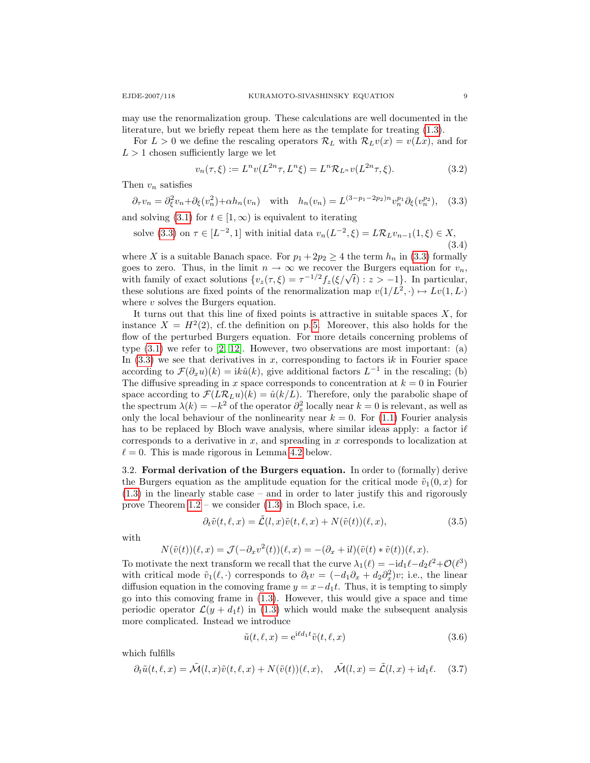may use the renormalization group. These calculations are well documented in the literature, but we briefly repeat them here as the template for treating [\(1.3\)](#page-2-1).

For  $L > 0$  we define the rescaling operators  $\mathcal{R}_L$  with  $\mathcal{R}_L v(x) = v(Lx)$ , and for  $L > 1$  chosen sufficiently large we let

<span id="page-8-5"></span><span id="page-8-4"></span><span id="page-8-1"></span>
$$
v_n(\tau,\xi) := L^n v(L^{2n}\tau, L^n \xi) = L^n \mathcal{R}_{L^n} v(L^{2n}\tau, \xi).
$$
 (3.2)

Then  $v_n$  satisfies

$$
\partial_{\tau}v_n = \partial_{\xi}^2 v_n + \partial_{\xi}(v_n^2) + \alpha h_n(v_n) \quad \text{with} \quad h_n(v_n) = L^{(3-p_1-2p_2)n} v_n^{p_1} \partial_{\xi}(v_n^{p_2}), \quad (3.3)
$$

and solving [\(3.1\)](#page-7-3) for  $t \in [1,\infty)$  is equivalent to iterating

solve (3.3) on 
$$
\tau \in [L^{-2}, 1]
$$
 with initial data  $v_n(L^{-2}, \xi) = L\mathcal{R}_L v_{n-1}(1, \xi) \in X$ , (3.4)

where X is a suitable Banach space. For  $p_1 + 2p_2 \geq 4$  the term  $h_n$  in [\(3.3\)](#page-8-1) formally goes to zero. Thus, in the limit  $n \to \infty$  we recover the Burgers equation for  $v_n$ , goes to zero. Thus, in the limit  $n \to \infty$  we recover the Burgers equation for  $v_n$ ,<br>with family of exact solutions  $\{v_z(\tau,\xi) = \tau^{-1/2} f_z(\xi/\sqrt{t}) : z > -1\}$ . In particular, these solutions are fixed points of the renormalization map  $v(1/L^2,.) \mapsto Lv(1,L)$ where  $v$  solves the Burgers equation.

It turns out that this line of fixed points is attractive in suitable spaces  $X$ , for instance  $X = H^2(2)$ , cf. the definition on p.5. Moreover, this also holds for the flow of the perturbed Burgers equation. For more details concerning problems of type  $(3.1)$  we refer to  $[2, 12]$  $[2, 12]$ . However, two observations are most important:  $(a)$ In  $(3.3)$  we see that derivatives in x, corresponding to factors ik in Fourier space according to  $\mathcal{F}(\partial_x u)(k) = ik\hat{u}(k)$ , give additional factors  $L^{-1}$  in the rescaling; (b) The diffusive spreading in x space corresponds to concentration at  $k = 0$  in Fourier space according to  $\mathcal{F}(L\mathcal{R}_L u)(k) = \hat{u}(k/L)$ . Therefore, only the parabolic shape of the spectrum  $\lambda(k) = -k^2$  of the operator  $\partial_x^2$  locally near  $k = 0$  is relevant, as well as only the local behaviour of the nonlinearity near  $k = 0$ . For [\(1.1\)](#page-1-0) Fourier analysis has to be replaced by Bloch wave analysis, where similar ideas apply: a factor  $i\ell$ corresponds to a derivative in  $x$ , and spreading in  $x$  corresponds to localization at  $\ell = 0$ . This is made rigorous in Lemma [4.2](#page-12-0) below.

<span id="page-8-3"></span>3.2. Formal derivation of the Burgers equation. In order to (formally) derive the Burgers equation as the amplitude equation for the critical mode  $\tilde{v}_1(0, x)$  for [\(1.3\)](#page-2-1) in the linearly stable case – and in order to later justify this and rigorously prove Theorem  $1.2$  – we consider  $(1.3)$  in Bloch space, i.e.

$$
\partial_t \tilde{v}(t,\ell,x) = \tilde{\mathcal{L}}(l,x)\tilde{v}(t,\ell,x) + N(\tilde{v}(t))(\ell,x), \tag{3.5}
$$

with

$$
N(\tilde{v}(t))(\ell, x) = \mathcal{J}(-\partial_x v^2(t))(\ell, x) = -(\partial_x + \mathrm{i}l)(\tilde{v}(t) * \tilde{v}(t))(\ell, x).
$$

To motivate the next transform we recall that the curve  $\lambda_1(\ell) = -id_1\ell - d_2\ell^2 + \mathcal{O}(\ell^3)$ with critical mode  $\tilde{v}_1(\ell, \cdot)$  corresponds to  $\partial_t v = (-d_1 \partial_x + d_2 \partial_x^2)v$ ; i.e., the linear diffusion equation in the comoving frame  $y = x - d_1t$ . Thus, it is tempting to simply go into this comoving frame in [\(1.3\)](#page-2-1). However, this would give a space and time periodic operator  $\mathcal{L}(y + d_1t)$  in [\(1.3\)](#page-2-1) which would make the subsequent analysis more complicated. Instead we introduce

<span id="page-8-0"></span>
$$
\tilde{u}(t,\ell,x) = e^{i\ell d_1 t} \tilde{v}(t,\ell,x)
$$
\n(3.6)

which fulfills

<span id="page-8-2"></span>
$$
\partial_t \tilde{u}(t,\ell,x) = \tilde{\mathcal{M}}(l,x)\tilde{v}(t,\ell,x) + N(\tilde{v}(t))(\ell,x), \quad \tilde{\mathcal{M}}(l,x) = \tilde{\mathcal{L}}(l,x) + \mathrm{id}_1\ell. \tag{3.7}
$$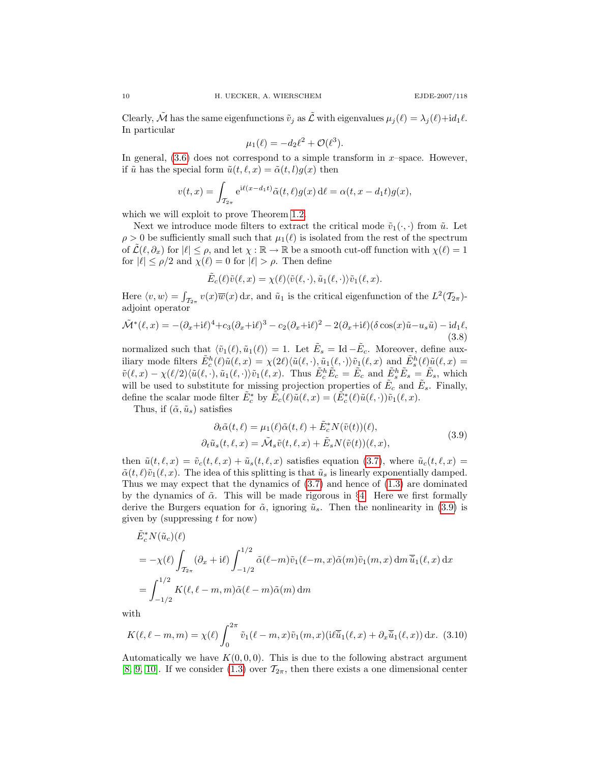Clearly,  $\tilde{\mathcal{M}}$  has the same eigenfunctions  $\tilde{v}_i$  as  $\tilde{\mathcal{L}}$  with eigenvalues  $\mu_i(\ell) = \lambda_i(\ell) + id_1\ell$ . In particular

$$
\mu_1(\ell) = -d_2\ell^2 + \mathcal{O}(\ell^3).
$$

In general,  $(3.6)$  does not correspond to a simple transform in x-space. However, if  $\tilde{u}$  has the special form  $\tilde{u}(t, \ell, x) = \tilde{\alpha}(t, l)g(x)$  then

$$
v(t,x) = \int_{\mathcal{T}_{2\pi}} e^{i\ell(x-d_1t)} \tilde{\alpha}(t,\ell) g(x) d\ell = \alpha(t,x-d_1t) g(x),
$$

which we will exploit to prove Theorem [1.2.](#page-4-2)

Next we introduce mode filters to extract the critical mode  $\tilde{v}_1(\cdot,\cdot)$  from  $\tilde{u}$ . Let  $\rho > 0$  be sufficiently small such that  $\mu_1(\ell)$  is isolated from the rest of the spectrum of  $\mathcal{L}(\ell, \partial_x)$  for  $|\ell| \leq \rho$ , and let  $\chi : \mathbb{R} \to \mathbb{R}$  be a smooth cut-off function with  $\chi(\ell) = 1$ for  $|\ell| \leq \rho/2$  and  $\chi(\ell) = 0$  for  $|\ell| > \rho$ . Then define

<span id="page-9-1"></span>
$$
\tilde{E}_c(\ell)\tilde{v}(\ell,x) = \chi(\ell)\langle \tilde{v}(\ell,\cdot),\tilde{u}_1(\ell,\cdot)\rangle \tilde{v}_1(\ell,x).
$$

Here  $\langle v, w \rangle = \int_{\mathcal{T}_{2\pi}} v(x) \overline{w}(x) dx$ , and  $\tilde{u}_1$  is the critical eigenfunction of the  $L^2(\mathcal{T}_{2\pi})$ adjoint operator

$$
\tilde{\mathcal{M}}^*(\ell, x) = -(\partial_x + i\ell)^4 + c_3(\partial_x + i\ell)^3 - c_2(\partial_x + i\ell)^2 - 2(\partial_x + i\ell)(\delta \cos(x)\tilde{u} - u_s\tilde{u}) - id_1\ell,
$$
\n(3.8)

normalized such that  $\langle \tilde{v}_1(\ell), \tilde{u}_1(\ell) \rangle = 1$ . Let  $\tilde{E}_s = \text{Id} - \tilde{E}_c$ . Moreover, define auxiliary mode filters  $\tilde{E}_c^h(\ell)\tilde{u}(\ell,x) = \chi(2\ell)\langle \tilde{u}(\ell,\cdot), \tilde{u}_1(\ell,\cdot)\rangle \tilde{v}_1(\ell,x)$  and  $\tilde{E}_s^h(\ell)\tilde{u}(\ell,x) =$  $\tilde{v}(\ell, x) - \chi(\ell/2) \langle \tilde{u}(\ell, \cdot), \tilde{u}_1(\ell, \cdot) \rangle \tilde{v}_1(\ell, x)$ . Thus  $\tilde{E}_c^h \tilde{E}_c = \tilde{E}_c$  and  $\tilde{E}_s^h \tilde{E}_s = \tilde{E}_s$ , which will be used to substitute for missing projection properties of  $\tilde{E}_c$  and  $\tilde{E}_s$ . Finally, define the scalar mode filter  $\tilde{E}_c^*$  by  $\tilde{E}_c(\ell)\tilde{u}(\ell, x) = (\tilde{E}_c^*(\ell)\tilde{u}(\ell, \cdot))\tilde{v}_1(\ell, x)$ .

Thus, if  $(\tilde{\alpha}, \tilde{u}_s)$  satisfies

<span id="page-9-0"></span>
$$
\partial_t \tilde{\alpha}(t,\ell) = \mu_1(\ell) \tilde{\alpha}(t,\ell) + \tilde{E}_c^* N(\tilde{v}(t))(\ell),
$$
  

$$
\partial_t \tilde{u}_s(t,\ell,x) = \tilde{\mathcal{M}}_s \tilde{v}(t,\ell,x) + \tilde{E}_s N(\tilde{v}(t))(\ell,x),
$$
 (3.9)

then  $\tilde{u}(t, \ell, x) = \tilde{v}_c(t, \ell, x) + \tilde{u}_s(t, \ell, x)$  satisfies equation [\(3.7\)](#page-8-2), where  $\tilde{u}_c(t, \ell, x) =$  $\tilde{\alpha}(t, \ell)\tilde{v}_1(\ell, x)$ . The idea of this splitting is that  $\tilde{u}_s$  is linearly exponentially damped. Thus we may expect that the dynamics of [\(3.7\)](#page-8-2) and hence of [\(1.3\)](#page-2-1) are dominated by the dynamics of  $\tilde{\alpha}$ . This will be made rigorous in §[4.](#page-11-1) Here we first formally derive the Burgers equation for  $\tilde{\alpha}$ , ignoring  $\tilde{u}_s$ . Then the nonlinearity in [\(3.9\)](#page-9-0) is given by (suppressing  $t$  for now)

$$
\tilde{E}_c^* N(\tilde{u}_c)(\ell)
$$
\n
$$
= -\chi(\ell) \int_{\mathcal{T}_{2\pi}} (\partial_x + i\ell) \int_{-1/2}^{1/2} \tilde{\alpha}(\ell - m) \tilde{v}_1(\ell - m, x) \tilde{\alpha}(m) \tilde{v}_1(m, x) dm \, \tilde{\bar{u}}_1(\ell, x) dx
$$
\n
$$
= \int_{-1/2}^{1/2} K(\ell, \ell - m, m) \tilde{\alpha}(\ell - m) \tilde{\alpha}(m) dm
$$

with

$$
K(\ell, \ell - m, m) = \chi(\ell) \int_0^{2\pi} \tilde{v}_1(\ell - m, x) \tilde{v}_1(m, x) (\mathrm{i} \ell \overline{\tilde{u}}_1(\ell, x) + \partial_x \overline{\tilde{u}}_1(\ell, x)) \, \mathrm{d}x. \tag{3.10}
$$

Automatically we have  $K(0, 0, 0)$ . This is due to the following abstract argument [\[8,](#page-17-10) [9,](#page-17-11) [10\]](#page-17-12). If we consider [\(1.3\)](#page-2-1) over  $\mathcal{T}_{2\pi}$ , then there exists a one dimensional center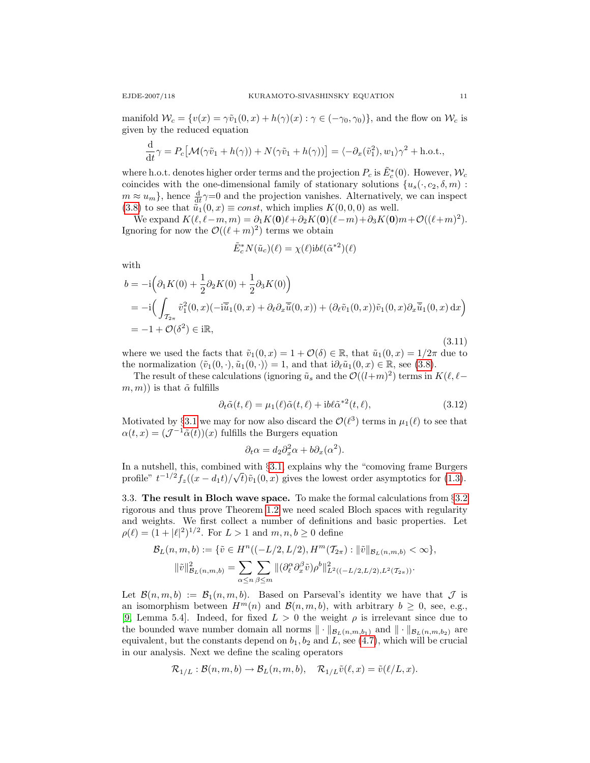manifold  $W_c = \{v(x) = \gamma \tilde{v}_1(0, x) + h(\gamma)(x) : \gamma \in (-\gamma_0, \gamma_0)\}\)$ , and the flow on  $W_c$  is given by the reduced equation

$$
\frac{\mathrm{d}}{\mathrm{d}t}\gamma = P_c\big[\mathcal{M}(\gamma\tilde{v}_1 + h(\gamma)) + N(\gamma\tilde{v}_1 + h(\gamma))\big] = \langle -\partial_x(\tilde{v}_1^2), w_1 \rangle \gamma^2 + \text{h.o.t.},
$$

where h.o.t. denotes higher order terms and the projection  $P_c$  is  $\tilde{E}^*_c(0)$ . However,  $\mathcal{W}_c$ coincides with the one-dimensional family of stationary solutions  ${u_s(\cdot, c_2, \delta, m)}$ :  $m \approx u_m$ , hence  $\frac{d}{dt}\gamma=0$  and the projection vanishes. Alternatively, we can inspect [\(3.8\)](#page-9-1) to see that  $\tilde{u}_1(0, x) \equiv const$ , which implies  $K(0, 0, 0)$  as well.

We expand  $K(\ell, \ell-m, m) = \partial_1 K(\mathbf{0})\ell + \partial_2 K(\mathbf{0})(\ell-m) + \partial_3 K(\mathbf{0})m + \mathcal{O}((\ell+m)^2).$ Ignoring for now the  $\mathcal{O}((\ell + m)^2)$  terms we obtain

$$
\tilde{E}_c^* N(\tilde{u}_c)(\ell) = \chi(\ell) \mathrm{i} b \ell(\tilde{\alpha}^{*2})(\ell)
$$

with

$$
b = -i\left(\partial_1 K(0) + \frac{1}{2}\partial_2 K(0) + \frac{1}{2}\partial_3 K(0)\right)
$$
  
\n
$$
= -i\left(\int_{\mathcal{T}_{2\pi}} \tilde{v}_1^2(0, x)(-\mathrm{i}\overline{\tilde{u}}_1(0, x) + \partial_\ell \partial_x \overline{\tilde{u}}(0, x)) + (\partial_\ell \tilde{v}_1(0, x))\tilde{v}_1(0, x)\partial_x \overline{\tilde{u}}_1(0, x) dx\right)
$$
  
\n
$$
= -1 + \mathcal{O}(\delta^2) \in \mathrm{i}\mathbb{R},
$$
\n(3.11)

where we used the facts that  $\tilde{v}_1(0, x) = 1 + \mathcal{O}(\delta) \in \mathbb{R}$ , that  $\tilde{u}_1(0, x) = 1/2\pi$  due to the normalization  $\langle \tilde{v}_1(0, \cdot), \tilde{u}_1(0, \cdot)\rangle = 1$ , and that  $i\partial_\ell \tilde{u}_1(0, x) \in \mathbb{R}$ , see [\(3.8\)](#page-9-1).

The result of these calculations (ignoring  $\tilde{u}_s$  and the  $\mathcal{O}((l+m)^2)$  terms in  $K(\ell, \ell (m, m)$ ) is that  $\tilde{\alpha}$  fulfills

$$
\partial_t \tilde{\alpha}(t,\ell) = \mu_1(\ell) \tilde{\alpha}(t,\ell) + i b \ell \tilde{\alpha}^{*2}(t,\ell), \tag{3.12}
$$

Motivated by §[3.1](#page-7-4) we may for now also discard the  $\mathcal{O}(\ell^3)$  terms in  $\mu_1(\ell)$  to see that  $\alpha(t, x) = (\mathcal{J}^{-1}\tilde{\alpha}(t))(x)$  fulfills the Burgers equation

$$
\partial_t \alpha = d_2 \partial_x^2 \alpha + b \partial_x (\alpha^2).
$$

In a nutshell, this, combined with §[3.1,](#page-7-4) explains why the "comoving frame Burgers" profile"  $t^{-1/2} f_z((x-d_1t)/\sqrt{t}) \tilde{v}_1(0,x)$  gives the lowest order asymptotics for [\(1.3\)](#page-2-1).

<span id="page-10-0"></span>3.3. The result in Bloch wave space. To make the formal calculations from §[3.2](#page-8-3) rigorous and thus prove Theorem [1.2](#page-4-2) we need scaled Bloch spaces with regularity and weights. We first collect a number of definitions and basic properties. Let  $\rho(\ell) = (1 + |\ell|^2)^{1/2}$ . For  $L > 1$  and  $m, n, b \ge 0$  define

$$
\mathcal{B}_L(n,m,b) := \{ \tilde{v} \in H^n((-L/2, L/2), H^m(\mathcal{T}_{2\pi}) : \|\tilde{v}\|_{\mathcal{B}_L(n,m,b)} < \infty \},
$$
  

$$
\|\tilde{v}\|_{\mathcal{B}_L(n,m,b)}^2 = \sum_{\alpha \le n} \sum_{\beta \le m} \|(\partial_{\ell}^{\alpha} \partial_x^{\beta} \tilde{v}) \rho^b\|_{L^2((-L/2, L/2), L^2(\mathcal{T}_{2\pi}))}^2.
$$

Let  $\mathcal{B}(n, m, b) := \mathcal{B}_1(n, m, b)$ . Based on Parseval's identity we have that  $\mathcal{J}$  is an isomorphism between  $H^m(n)$  and  $\mathcal{B}(n, m, b)$ , with arbitrary  $b \geq 0$ , see, e.g., [\[9,](#page-17-11) Lemma 5.4]. Indeed, for fixed  $L > 0$  the weight  $\rho$  is irrelevant since due to the bounded wave number domain all norms  $\|\cdot\|_{\mathcal{B}_L(n,m,b_1)}$  and  $\|\cdot\|_{\mathcal{B}_L(n,m,b_2)}$  are equivalent, but the constants depend on  $b_1$ ,  $b_2$  and  $\overline{L}$ , see [\(4.7\)](#page-12-1), which will be crucial in our analysis. Next we define the scaling operators

$$
\mathcal{R}_{1/L} : \mathcal{B}(n,m,b) \to \mathcal{B}_L(n,m,b), \quad \mathcal{R}_{1/L} \tilde{v}(\ell,x) = \tilde{v}(\ell/L,x).
$$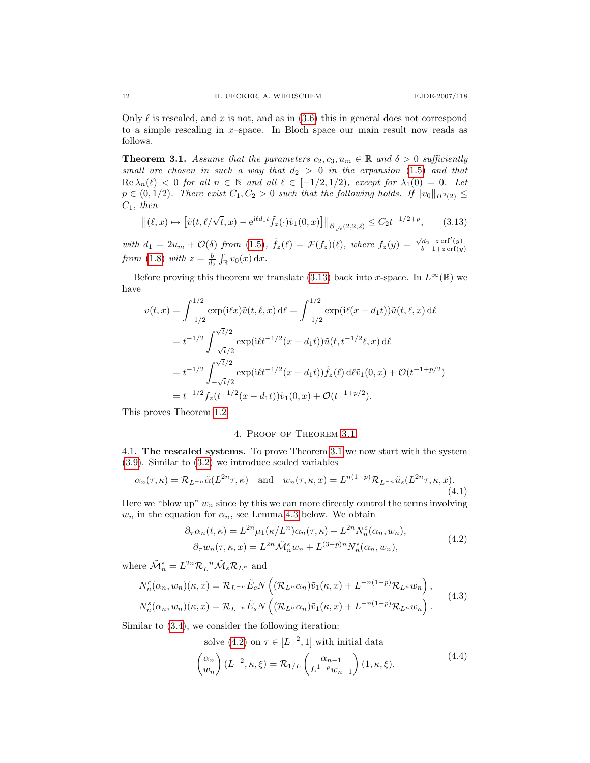Only  $\ell$  is rescaled, and x is not, and as in  $(3.6)$  this in general does not correspond to a simple rescaling in  $x$ –space. In Bloch space our main result now reads as follows.

<span id="page-11-0"></span>**Theorem 3.1.** Assume that the parameters  $c_2, c_3, u_m \in \mathbb{R}$  and  $\delta > 0$  sufficiently small are chosen in such a way that  $d_2 > 0$  in the expansion [\(1.5\)](#page-3-2) and that  $\text{Re }\lambda_n(\ell) < 0$  for all  $n \in \mathbb{N}$  and all  $\ell \in [-1/2, 1/2)$ , except for  $\lambda_1(0) = 0$ . Let  $p \in (0, 1/2)$ . There exist  $C_1, C_2 > 0$  such that the following holds. If  $||v_0||_{H^2(2)} \le$  $C_1$ , then

<span id="page-11-2"></span>
$$
\left\| (\ell, x) \mapsto \left[ \tilde{v}(t, \ell/\sqrt{t}, x) - e^{i\ell d_1 t} \tilde{f}_z(\cdot) \tilde{v}_1(0, x) \right] \right\|_{\mathcal{B}_{\sqrt{t}}(2,2,2)} \le C_2 t^{-1/2 + p}, \qquad (3.13)
$$

with  $d_1 = 2u_m + \mathcal{O}(\delta)$  from [\(1.5\)](#page-3-2),  $\tilde{f}_z(\ell) = \mathcal{F}(f_z)(\ell)$ , where  $f_z(y) = \frac{\sqrt{d_2}}{b}$  $z \operatorname{erf}'(y)$  $1+z \operatorname{erf}(y)$ from [\(1.8\)](#page-4-0) with  $z = \frac{b}{d_2} \int_{\mathbb{R}} v_0(x) dx$ .

Before proving this theorem we translate [\(3.13\)](#page-11-2) back into x-space. In  $L^{\infty}(\mathbb{R})$  we have

$$
v(t,x) = \int_{-1/2}^{1/2} \exp(i\ell x) \tilde{v}(t,\ell,x) d\ell = \int_{-1/2}^{1/2} \exp(i\ell (x-d_1 t)) \tilde{u}(t,\ell,x) d\ell
$$
  
=  $t^{-1/2} \int_{-\sqrt{t}/2}^{\sqrt{t}/2} \exp(i\ell t^{-1/2} (x-d_1 t)) \tilde{u}(t, t^{-1/2} \ell, x) d\ell$   
=  $t^{-1/2} \int_{-\sqrt{t}/2}^{\sqrt{t}/2} \exp(i\ell t^{-1/2} (x-d_1 t)) \tilde{f}_z(\ell) d\ell \tilde{v}_1(0,x) + \mathcal{O}(t^{-1+p/2})$   
=  $t^{-1/2} f_z(t^{-1/2} (x-d_1 t)) \tilde{v}_1(0,x) + \mathcal{O}(t^{-1+p/2}).$ 

This proves Theorem [1.2.](#page-4-2)

# <span id="page-11-3"></span>4. Proof of Theorem [3.1](#page-11-0)

<span id="page-11-1"></span>4.1. The rescaled systems. To prove Theorem [3.1](#page-11-0) we now start with the system [\(3.9\)](#page-9-0). Similar to [\(3.2\)](#page-8-4) we introduce scaled variables

$$
\alpha_n(\tau,\kappa) = \mathcal{R}_{L^{-n}}\tilde{\alpha}(L^{2n}\tau,\kappa) \quad \text{and} \quad w_n(\tau,\kappa,x) = L^{n(1-p)}\mathcal{R}_{L^{-n}}\tilde{u}_s(L^{2n}\tau,\kappa,x). \tag{4.1}
$$

Here we "blow up"  $w_n$  since by this we can more directly control the terms involving  $w_n$  in the equation for  $\alpha_n$ , see Lemma [4.3](#page-12-2) below. We obtain

$$
\partial_{\tau}\alpha_n(t,\kappa) = L^{2n}\mu_1(\kappa/L^n)\alpha_n(\tau,\kappa) + L^{2n}N_n^c(\alpha_n, w_n),
$$
  

$$
\partial_{\tau}w_n(\tau,\kappa,x) = L^{2n}\tilde{\mathcal{M}}_n^sw_n + L^{(3-p)n}N_n^s(\alpha_n, w_n),
$$
 (4.2)

where  $\tilde{\mathcal{M}}_n^s = L^{2n} \mathcal{R}_L^{-n} \tilde{\mathcal{M}}_s \mathcal{R}_{L^n}$  and

$$
N_n^c(\alpha_n, w_n)(\kappa, x) = \mathcal{R}_{L^{-n}} \tilde{E}_c N\left( (\mathcal{R}_{L^n} \alpha_n) \tilde{v}_1(\kappa, x) + L^{-n(1-p)} \mathcal{R}_{L^n} w_n \right),
$$
  
\n
$$
N_n^s(\alpha_n, w_n)(\kappa, x) = \mathcal{R}_{L^{-n}} \tilde{E}_s N\left( (\mathcal{R}_{L^n} \alpha_n) \tilde{v}_1(\kappa, x) + L^{-n(1-p)} \mathcal{R}_{L^n} w_n \right).
$$
\n(4.3)

Similar to [\(3.4\)](#page-8-5), we consider the following iteration:

<span id="page-11-4"></span>solve [\(4.2\)](#page-11-3) on  $\tau \in [L^{-2}, 1]$  with initial data

$$
\begin{pmatrix} \alpha_n \\ w_n \end{pmatrix} (L^{-2}, \kappa, \xi) = \mathcal{R}_{1/L} \begin{pmatrix} \alpha_{n-1} \\ L^{1-p} w_{n-1} \end{pmatrix} (1, \kappa, \xi). \tag{4.4}
$$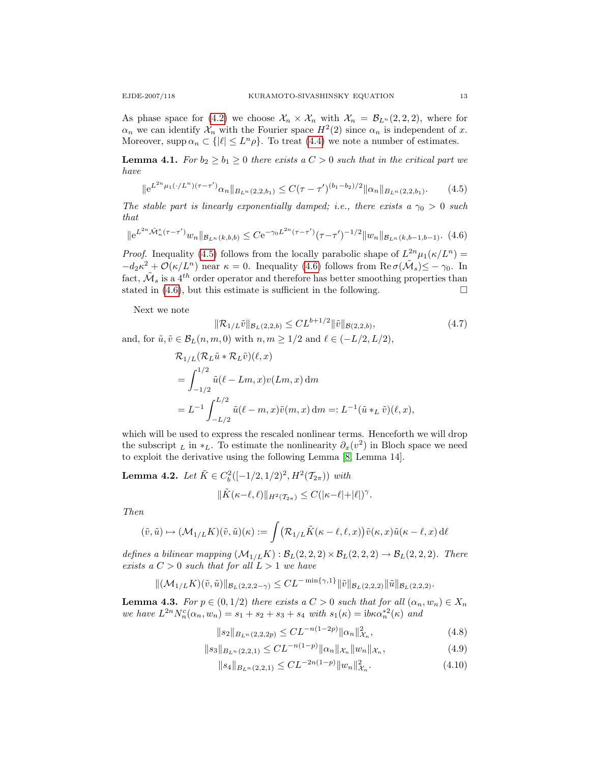As phase space for [\(4.2\)](#page-11-3) we choose  $\mathcal{X}_n \times \mathcal{X}_n$  with  $\mathcal{X}_n = \mathcal{B}_{L^n}(2,2,2)$ , where for  $\alpha_n$  we can identify  $\mathcal{X}_n$  with the Fourier space  $H^2(2)$  since  $\alpha_n$  is independent of x. Moreover, supp  $\alpha_n \subset \{|\ell| \le L^n \rho\}$ . To treat [\(4.4\)](#page-11-4) we note a number of estimates.

<span id="page-12-8"></span>**Lemma 4.1.** For  $b_2 \geq b_1 \geq 0$  there exists a  $C > 0$  such that in the critical part we have

<span id="page-12-3"></span>
$$
\|e^{L^{2n}\mu_1(\cdot/L^n)(\tau-\tau')}a_n\|_{B_{L^n}(2,2,b_1)} \leq C(\tau-\tau')^{(b_1-b_2)/2} \|\alpha_n\|_{B_{L^n}(2,2,b_1)}.\tag{4.5}
$$

<span id="page-12-4"></span>The stable part is linearly exponentially damped; i.e., there exists a  $\gamma_0 > 0$  such that

$$
\|e^{L^{2n}\tilde{\mathcal{M}}_n^s(\tau-\tau')}w_n\|_{\mathcal{B}_{L^n}(k,b,b)} \leq Ce^{-\gamma_0 L^{2n}(\tau-\tau')}(\tau-\tau')^{-1/2}\|w_n\|_{\mathcal{B}_{L^n}(k,b-1,b-1)}.\tag{4.6}
$$

*Proof.* Inequality [\(4.5\)](#page-12-3) follows from the locally parabolic shape of  $L^{2n}\mu_1(\kappa/L^n)$  =  $-d_2\kappa^2+\mathcal{O}(\kappa/L^n)$  near  $\kappa=0$ . Inequality [\(4.6\)](#page-12-4) follows from Re  $\sigma(\tilde{M}_s)\leq -\gamma_0$ . In fact,  $\tilde{M}_s$  is a 4<sup>th</sup> order operator and therefore has better smoothing properties than stated in  $(4.6)$ , but this estimate is sufficient in the following.

Next we note

<span id="page-12-1"></span>
$$
\|\mathcal{R}_{1/L}\tilde{v}\|_{\mathcal{B}_L(2,2,b)} \leq CL^{b+1/2} \|\tilde{v}\|_{\mathcal{B}(2,2,b)},\tag{4.7}
$$

and, for  $\tilde{u}, \tilde{v} \in \mathcal{B}_L(n, m, 0)$  with  $n, m \geq 1/2$  and  $\ell \in (-L/2, L/2)$ ,

$$
\mathcal{R}_{1/L}(\mathcal{R}_L \tilde{u} * \mathcal{R}_L \tilde{v})(\ell, x)
$$
  
=  $\int_{-1/2}^{1/2} \tilde{u}(\ell - Lm, x)v(Lm, x) dm$   
=  $L^{-1} \int_{-L/2}^{L/2} \tilde{u}(\ell - m, x) \tilde{v}(m, x) dm =: L^{-1}(\tilde{u} *_{L} \tilde{v})(\ell, x),$ 

which will be used to express the rescaled nonlinear terms. Henceforth we will drop the subscript  $\iota$  in  $\ast_L$ . To estimate the nonlinearity  $\partial_x(v^2)$  in Bloch space we need to exploit the derivative using the following Lemma [\[8,](#page-17-10) Lemma 14].

<span id="page-12-0"></span>**Lemma 4.2.** Let  $\tilde{K} \in C_b^2([-1/2, 1/2)^2, H^2(\mathcal{T}_{2\pi}))$  with

$$
\|\tilde{K}(\kappa-\ell,\ell)\|_{H^2(\mathcal{T}_{2\pi})} \leq C(|\kappa-\ell|+|\ell|)^{\gamma}.
$$

Then

$$
(\tilde{v}, \tilde{u}) \mapsto (\mathcal{M}_{1/L} K)(\tilde{v}, \tilde{u})(\kappa) := \int (\mathcal{R}_{1/L} \tilde{K}(\kappa - \ell, \ell, x)) \tilde{v}(\kappa, x) \tilde{u}(\kappa - \ell, x) d\ell
$$

defines a bilinear mapping  $(\mathcal{M}_{1/L}K) : \mathcal{B}_L(2,2,2) \times \mathcal{B}_L(2,2,2) \to \mathcal{B}_L(2,2,2)$ . There exists a  $C > 0$  such that for all  $L > 1$  we have

$$
\|(\mathcal{M}_{1/L}K)(\tilde{v},\tilde{u})\|_{\mathcal{B}_L(2,2,2-\gamma)} \leq CL^{-\min\{\gamma,1\}} \|\tilde{v}\|_{\mathcal{B}_L(2,2,2)} \|\tilde{u}\|_{\mathcal{B}_L(2,2,2)}.
$$

<span id="page-12-2"></span>**Lemma 4.3.** For  $p \in (0, 1/2)$  there exists a  $C > 0$  such that for all  $(\alpha_n, w_n) \in X_n$ we have  $L^{2n} N_n^c(\alpha_n, w_n) = s_1 + s_2 + s_3 + s_4$  with  $s_1(\kappa) = ib \kappa \alpha_n^{*2}(\kappa)$  and

<span id="page-12-5"></span>
$$
||s_2||_{B_{L^n}(2,2,2p)} \leq CL^{-n(1-2p)} ||\alpha_n||_{\mathcal{X}_n}^2,
$$
\n(4.8)

$$
||s_3||_{B_{L^n}(2,2,1)} \leq CL^{-n(1-p)} ||\alpha_n||_{\mathcal{X}_n} ||w_n||_{\mathcal{X}_n},
$$
\n(4.9)

<span id="page-12-7"></span><span id="page-12-6"></span>
$$
||s_4||_{B_{L^n}(2,2,1)} \leq CL^{-2n(1-p)} ||w_n||_{\mathcal{X}_n}^2.
$$
\n(4.10)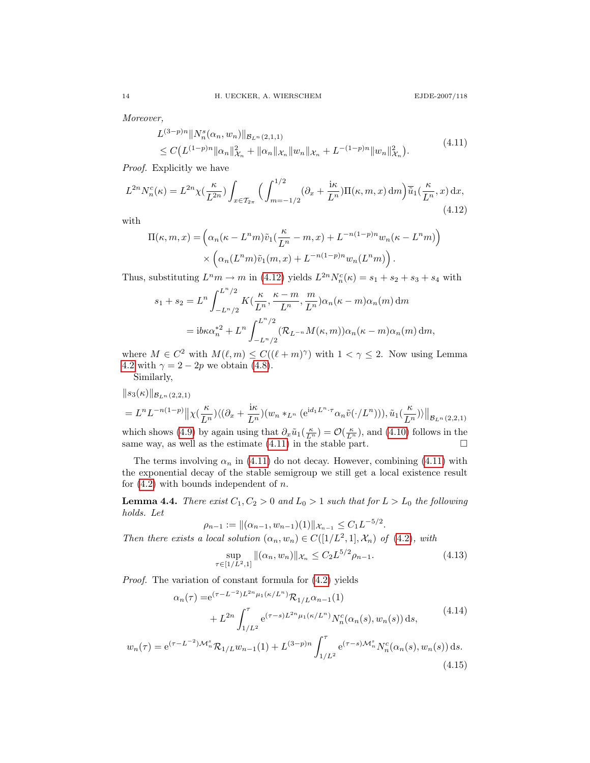Moreover,

<span id="page-13-1"></span><span id="page-13-0"></span>
$$
L^{(3-p)n} \| N_n^s(\alpha_n, w_n) \|_{\mathcal{B}_{L^n}(2,1,1)}
$$
  
\n
$$
\leq C \left( L^{(1-p)n} \| \alpha_n \|_{\mathcal{X}_n}^2 + \| \alpha_n \|_{\mathcal{X}_n} \| w_n \|_{\mathcal{X}_n} + L^{-(1-p)n} \| w_n \|_{\mathcal{X}_n}^2 \right).
$$
\n(4.11)

Proof. Explicitly we have

$$
L^{2n}N_n^c(\kappa) = L^{2n}\chi\left(\frac{\kappa}{L^{2n}}\right) \int_{x \in \mathcal{T}_{2n}} \Big( \int_{m=-1/2}^{1/2} (\partial_x + \frac{\mathrm{i}\kappa}{L^n}) \Pi(\kappa, m, x) \, \mathrm{d}m \Big) \overline{\tilde{u}}_1\left(\frac{\kappa}{L^n}, x\right) \mathrm{d}x,\tag{4.12}
$$

with

$$
\Pi(\kappa, m, x) = \left(\alpha_n (\kappa - L^n m) \tilde{v}_1(\frac{\kappa}{L^n} - m, x) + L^{-n(1-p)n} w_n (\kappa - L^n m)\right) \times \left(\alpha_n (L^n m) \tilde{v}_1(m, x) + L^{-n(1-p)n} w_n (L^n m)\right).
$$

Thus, substituting  $L^n m \to m$  in [\(4.12\)](#page-13-0) yields  $L^{2n} N_n^c(\kappa) = s_1 + s_2 + s_3 + s_4$  with

$$
s_1 + s_2 = L^n \int_{-L^n/2}^{L^n/2} K\left(\frac{\kappa}{L^n}, \frac{\kappa - m}{L^n}, \frac{m}{L^n}\right) \alpha_n(\kappa - m) \alpha_n(m) \, dm
$$
  
= 
$$
i b \kappa \alpha_n^{*2} + L^n \int_{-L^n/2}^{L^n/2} (\mathcal{R}_{L^{-n}} M(\kappa, m)) \alpha_n(\kappa - m) \alpha_n(m) \, dm,
$$

where  $M \in C^2$  with  $M(\ell, m) \leq C((\ell + m)^\gamma)$  with  $1 < \gamma \leq 2$ . Now using Lemma [4.2](#page-12-0) with  $\gamma = 2 - 2p$  we obtain [\(4.8\)](#page-12-5).

Similarly,

 $w_n(\tau)$ 

$$
||s_3(\kappa)||_{\mathcal{B}_{L^n}(2,2,1)}
$$
  
=  $L^n L^{-n(1-p)} || \chi(\frac{\kappa}{L^n}) \langle (\partial_x + \frac{\mathrm{i}\kappa}{L^n}) (w_n *_{L^n} (e^{\mathrm{i}d_1 L^n \cdot \tau} \alpha_n \tilde{v}(\cdot/L^n))) , \tilde{u}_1(\frac{\kappa}{L^n}) \rangle ||_{\mathcal{B}_{L^n}(2,2,1)}$ 

which shows [\(4.9\)](#page-12-6) by again using that  $\partial_x \tilde{u}_1(\frac{\kappa}{L^n}) = \mathcal{O}(\frac{\kappa}{L^n})$ , and [\(4.10\)](#page-12-7) follows in the same way, as well as the estimate  $(4.11)$  in the stable part.

The terms involving  $\alpha_n$  in [\(4.11\)](#page-13-1) do not decay. However, combining (4.11) with the exponential decay of the stable semigroup we still get a local existence result for  $(4.2)$  with bounds independent of n.

<span id="page-13-2"></span>**Lemma 4.4.** There exist  $C_1, C_2 > 0$  and  $L_0 > 1$  such that for  $L > L_0$  the following holds. Let

$$
\rho_{n-1} := \left\| (\alpha_{n-1}, w_{n-1})(1) \right\|_{\mathcal{X}_{n-1}} \le C_1 L^{-5/2}.
$$
  
Then there exists a local solution  $(\alpha_n, w_n) \in C([1/L^2, 1], \mathcal{X}_n)$  of (4.2), with

$$
\sup_{\tau \in [1/L^2, 1]} \| (\alpha_n, w_n) \|_{\mathcal{X}_n} \le C_2 L^{5/2} \rho_{n-1}.
$$
\n(4.13)

Proof. The variation of constant formula for [\(4.2\)](#page-11-3) yields

$$
\alpha_n(\tau) = e^{(\tau - L^{-2})L^{2n}\mu_1(\kappa/L^n)} \mathcal{R}_{1/L} \alpha_{n-1}(1)
$$
  
+  $L^{2n} \int_{1/L^2}^{\tau} e^{(\tau - s)L^{2n}\mu_1(\kappa/L^n)} N_n^c(\alpha_n(s), w_n(s)) ds,$   
=  $e^{(\tau - L^{-2})\mathcal{M}_n^s} \mathcal{R}_{1/L} w_{n-1}(1) + L^{(3-p)n} \int_{1/L^2}^{\tau} e^{(\tau - s)\mathcal{M}_n^s} N_n^c(\alpha_n(s), w_n(s)) ds.$  (4.14)

$$
(4.15)
$$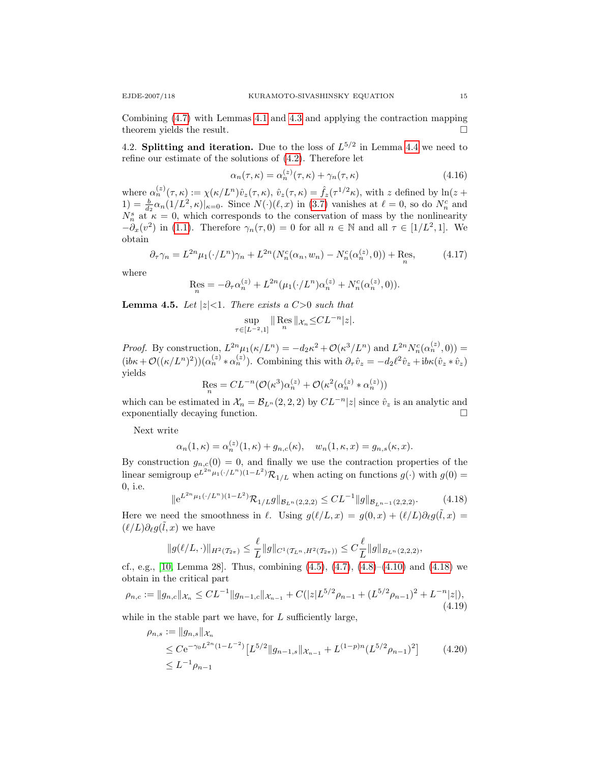Combining [\(4.7\)](#page-12-1) with Lemmas [4.1](#page-12-8) and [4.3](#page-12-2) and applying the contraction mapping theorem yields the result.

4.2. Splitting and iteration. Due to the loss of  $L^{5/2}$  in Lemma [4.4](#page-13-2) we need to refine our estimate of the solutions of [\(4.2\)](#page-11-3). Therefore let

$$
\alpha_n(\tau,\kappa) = \alpha_n^{(z)}(\tau,\kappa) + \gamma_n(\tau,\kappa) \tag{4.16}
$$

where  $\alpha_n^{(z)}(\tau,\kappa) := \chi(\kappa/L^n)\hat{v}_z(\tau,\kappa), \, \hat{v}_z(\tau,\kappa) = \hat{f}_z(\tau^{1/2}\kappa)$ , with z defined by  $\ln(z+\kappa)$  $(1) = \frac{b}{d_2} \alpha_n(1/L^2, \kappa)|_{\kappa=0}$ . Since  $N(\cdot)(\ell, x)$  in [\(3.7\)](#page-8-2) vanishes at  $\ell = 0$ , so do  $N_n^c$  and  $N_n^s$  at  $\kappa = 0$ , which corresponds to the conservation of mass by the nonlinearity  $-\partial_x(v^2)$  in [\(1.1\)](#page-1-0). Therefore  $\gamma_n(\tau,0)=0$  for all  $n \in \mathbb{N}$  and all  $\tau \in [1/L^2,1]$ . We obtain

$$
\partial_{\tau}\gamma_n = L^{2n}\mu_1(\cdot/L^n)\gamma_n + L^{2n}(N_n^c(\alpha_n, w_n) - N_n^c(\alpha_n^{(z)}, 0)) + \text{Res}_n,
$$
 (4.17)

where

$$
\text{Res}_{n} = -\partial_{\tau} \alpha_{n}^{(z)} + L^{2n} (\mu_1(\cdot/L^n) \alpha_n^{(z)} + N_n^c(\alpha_n^{(z)}, 0)).
$$

**Lemma 4.5.** Let  $|z|<1$ . There exists a  $C>0$  such that

$$
\sup_{\tau \in [L^{-2}, 1]} \| \operatorname{Res}_{n} \|_{\mathcal{X}_{n}} \leq CL^{-n} |z|.
$$

*Proof.* By construction,  $L^{2n}\mu_1(\kappa/L^n) = -d_2\kappa^2 + \mathcal{O}(\kappa^3/L^n)$  and  $L^{2n}N_n^c(\alpha_n^{(z)},0)) =$  $(\mathrm{i}b\kappa+\mathcal{O}((\kappa/L^n)^2))(\alpha_n^{(z)}*\alpha_n^{(z)})$ . Combining this with  $\partial_\tau\hat{v}_z=-d_2\ell^2\hat{v}_z+\mathrm{i}b\kappa(\hat{v}_z*\hat{v}_z)$ yields

$$
\operatorname{Res}_n = CL^{-n}(\mathcal{O}(\kappa^3)\alpha_n^{(z)} + \mathcal{O}(\kappa^2(\alpha_n^{(z)} * \alpha_n^{(z)}))
$$

which can be estimated in  $\mathcal{X}_n = \mathcal{B}_{L^n}(2, 2, 2)$  by  $CL^{-n}|z|$  since  $\hat{v}_z$  is an analytic and exponentially decaying function.

Next write

$$
\alpha_n(1,\kappa) = \alpha_n^{(z)}(1,\kappa) + g_{n,c}(\kappa), \quad w_n(1,\kappa,x) = g_{n,s}(\kappa,x).
$$

By construction  $g_{n,c}(0) = 0$ , and finally we use the contraction properties of the linear semigroup  $e^{L^{2n}\mu_1(\cdot/L^n)(1-L^2)}\mathcal{R}_{1/L}$  when acting on functions  $g(\cdot)$  with  $g(0)$  = 0, i.e.

<span id="page-14-0"></span>
$$
\|e^{L^{2n}\mu_1(\cdot/L^n)(1-L^2)}\mathcal{R}_{1/L}g\|_{\mathcal{B}_{L^n}(2,2,2)} \leq CL^{-1} \|g\|_{\mathcal{B}_{L^{n-1}}(2,2,2)}.\tag{4.18}
$$

Here we need the smoothness in  $\ell$ . Using  $g(\ell/L, x) = g(0, x) + (\ell/L)\partial_{\ell}g(\tilde{l}, x) =$  $(\ell/L)\partial_\ell g(\tilde{l},x)$  we have

<span id="page-14-2"></span><span id="page-14-1"></span>
$$
||g(\ell/L,\cdot)||_{H^2(\mathcal{T}_{2\pi})} \leq \frac{\ell}{L} ||g||_{C^1(\mathcal{T}_{L^n},H^2(\mathcal{T}_{2\pi}))} \leq C \frac{\ell}{L} ||g||_{B_{L^n}(2,2,2)},
$$

cf., e.g., [\[10,](#page-17-12) Lemma 28]. Thus, combining  $(4.5)$ ,  $(4.7)$ ,  $(4.8)$ – $(4.10)$  and  $(4.18)$  we obtain in the critical part

$$
\rho_{n,c} := \|g_{n,c}\|_{\mathcal{X}_n} \leq CL^{-1} \|g_{n-1,c}\|_{\mathcal{X}_{n-1}} + C(|z|L^{5/2}\rho_{n-1} + (L^{5/2}\rho_{n-1})^2 + L^{-n}|z|),\tag{4.19}
$$

while in the stable part we have, for  $L$  sufficiently large,

$$
\rho_{n,s} := \|g_{n,s}\|_{\mathcal{X}_n}
$$
  
\n
$$
\leq C e^{-\gamma_0 L^{2n} (1 - L^{-2})} \left[ L^{5/2} \|g_{n-1,s}\|_{\mathcal{X}_{n-1}} + L^{(1-p)n} (L^{5/2} \rho_{n-1})^2 \right]
$$
 (4.20)  
\n
$$
\leq L^{-1} \rho_{n-1}
$$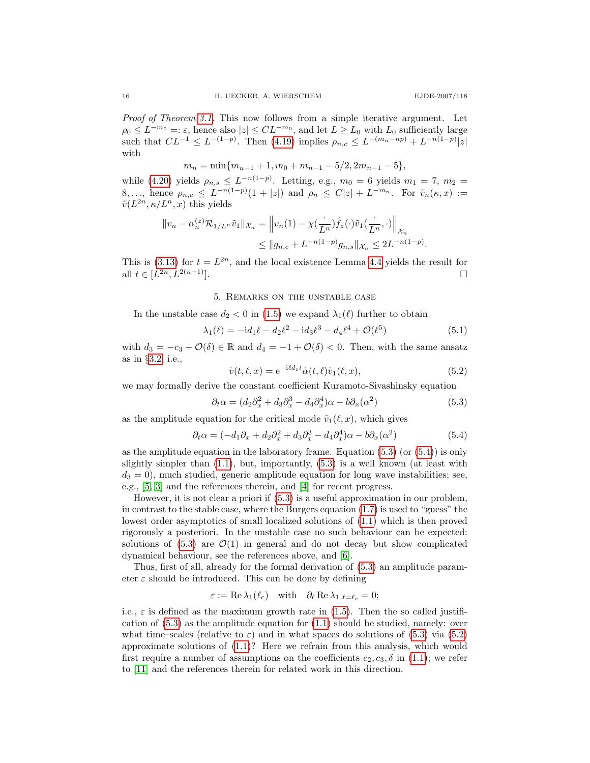Proof of Theorem [3.1.](#page-11-0) This now follows from a simple iterative argument. Let  $\rho_0 \leq L^{-m_0} =: \varepsilon$ , hence also  $|z| \leq CL^{-m_0}$ , and let  $L \geq L_0$  with  $L_0$  sufficiently large such that  $CL^{-1} \leq L^{-(1-p)}$ . Then [\(4.19\)](#page-14-1) implies  $\rho_{n,c} \leq L^{-(m_n - np)} + L^{-n(1-p)}|z|$ with

 $m_n = \min\{m_{n-1} + 1, m_0 + m_{n-1} - 5/2, 2m_{n-1} - 5\},\$ 

while [\(4.20\)](#page-14-2) yields  $\rho_{n,s} \leq L^{-n(1-p)}$ . Letting, e.g.,  $m_0 = 6$  yields  $m_1 = 7$ ,  $m_2 =$ 8,..., hence  $\rho_{n,c} \leq L^{-n(1-p)}(1+|z|)$  and  $\rho_n \leq C|z| + L^{-m_n}$ . For  $\tilde{v}_n(\kappa, x) :=$  $\tilde{v}(L^{2n}, \kappa/L^n, x)$  this yields

$$
||v_n - \alpha_n^{(z)} \mathcal{R}_{1/L^n} \tilde{v}_1||_{\mathcal{X}_n} = ||v_n(1) - \chi(\frac{1}{L^n}) \hat{f}_z(\cdot) \tilde{v}_1(\frac{1}{L^n}, \cdot) ||_{\mathcal{X}_n} \le ||g_{n,c} + L^{-n(1-p)} g_{n,s}||_{\mathcal{X}_n} \le 2L^{-n(1-p)}.
$$

This is [\(3.13\)](#page-11-2) for  $t = L^{2n}$ , and the local existence Lemma [4.4](#page-13-2) yields the result for all  $t \in [L^{2n}, L^{2(n+1)}].$ 

## 5. Remarks on the unstable case

<span id="page-15-1"></span>In the unstable case  $d_2 < 0$  in [\(1.5\)](#page-3-2) we expand  $\lambda_1(\ell)$  further to obtain

<span id="page-15-3"></span>
$$
\lambda_1(\ell) = -id_1\ell - d_2\ell^2 - id_3\ell^3 - d_4\ell^4 + \mathcal{O}(\ell^5)
$$
\n(5.1)

with  $d_3 = -c_3 + \mathcal{O}(\delta) \in \mathbb{R}$  and  $d_4 = -1 + \mathcal{O}(\delta) < 0$ . Then, with the same ansatz as in §[3.2;](#page-8-3) i.e.,

<span id="page-15-2"></span><span id="page-15-0"></span>
$$
\tilde{v}(t,\ell,x) = e^{-i\ell d_1 t} \tilde{\alpha}(t,\ell) \tilde{v}_1(\ell,x),\tag{5.2}
$$

we may formally derive the constant coefficient Kuramoto-Sivashinsky equation

$$
\partial_t \alpha = (d_2 \partial_x^2 + d_3 \partial_x^3 - d_4 \partial_x^4) \alpha - b \partial_x (\alpha^2)
$$
\n(5.3)

as the amplitude equation for the critical mode  $\tilde{v}_1(\ell, x)$ , which gives

$$
\partial_t \alpha = (-d_1 \partial_x + d_2 \partial_x^2 + d_3 \partial_x^3 - d_4 \partial_x^4) \alpha - b \partial_x (\alpha^2)
$$
\n(5.4)

as the amplitude equation in the laboratory frame. Equation  $(5.3)$  (or  $(5.4)$ ) is only slightly simpler than  $(1.1)$ , but, importantly,  $(5.3)$  is a well known (at least with  $d_3 = 0$ , much studied, generic amplitude equation for long wave instabilities; see, e.g., [\[5,](#page-17-13) [3\]](#page-17-0) and the references therein, and [\[4\]](#page-17-14) for recent progress.

However, it is not clear a priori if [\(5.3\)](#page-15-0) is a useful approximation in our problem, in contrast to the stable case, where the Burgers equation [\(1.7\)](#page-3-1) is used to "guess" the lowest order asymptotics of small localized solutions of [\(1.1\)](#page-1-0) which is then proved rigorously a posteriori. In the unstable case no such behaviour can be expected: solutions of  $(5.3)$  are  $\mathcal{O}(1)$  in general and do not decay but show complicated dynamical behaviour, see the references above, and [\[6\]](#page-17-2).

Thus, first of all, already for the formal derivation of [\(5.3\)](#page-15-0) an amplitude parameter  $\varepsilon$  should be introduced. This can be done by defining

$$
\varepsilon := \text{Re }\lambda_1(\ell_c) \quad \text{with} \quad \partial_\ell \text{Re }\lambda_1|_{\ell=\ell_c} = 0;
$$

i.e.,  $\varepsilon$  is defined as the maximum growth rate in [\(1.5\)](#page-3-2). Then the so called justification of [\(5.3\)](#page-15-0) as the amplitude equation for [\(1.1\)](#page-1-0) should be studied, namely: over what time–scales (relative to  $\varepsilon$ ) and in what spaces do solutions of [\(5.3\)](#page-15-0) via [\(5.2\)](#page-15-3) approximate solutions of [\(1.1\)](#page-1-0)? Here we refrain from this analysis, which would first require a number of assumptions on the coefficients  $c_2, c_3, \delta$  in [\(1.1\)](#page-1-0); we refer to [\[11\]](#page-17-1) and the references therein for related work in this direction.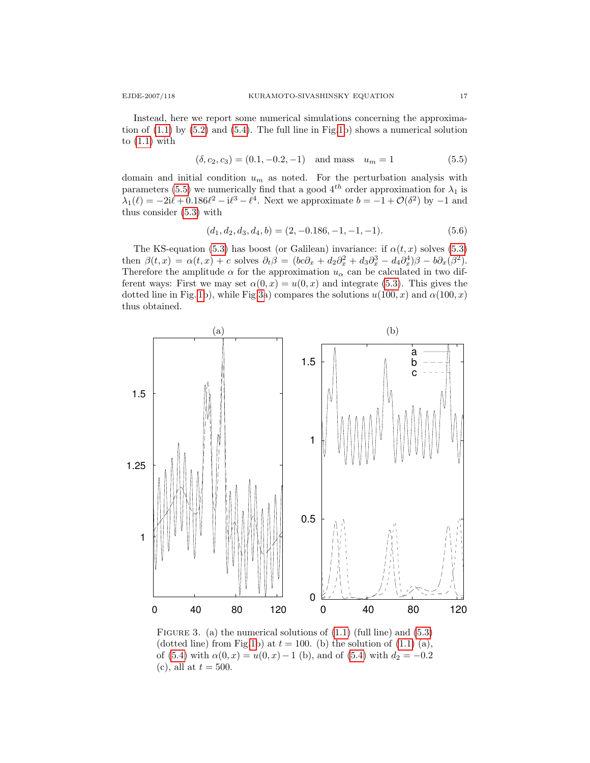Instead, here we report some numerical simulations concerning the approximation of  $(1.1)$  by  $(5.2)$  and  $(5.4)$ . The full line in Fig[.1b](#page-2-0)) shows a numerical solution to  $(1.1)$  with

<span id="page-16-0"></span>
$$
(\delta, c_2, c_3) = (0.1, -0.2, -1) \quad \text{and mass} \quad u_m = 1 \tag{5.5}
$$

domain and initial condition  $u_m$  as noted. For the perturbation analysis with parameters [\(5.5\)](#page-16-0) we numerically find that a good  $4^{th}$  order approximation for  $\lambda_1$  is  $\lambda_1(\ell) = -2i\ell + 0.186\ell^2 - i\ell^3 - \ell^4$ . Next we approximate  $b = -1 + \mathcal{O}(\delta^2)$  by  $-1$  and thus consider [\(5.3\)](#page-15-0) with

$$
(d_1, d_2, d_3, d_4, b) = (2, -0.186, -1, -1, -1). \tag{5.6}
$$

The KS-equation [\(5.3\)](#page-15-0) has boost (or Galilean) invariance: if  $\alpha(t, x)$  solves (5.3) then  $\beta(t,x) = \alpha(t,x) + c$  solves  $\partial_t \beta = (bc\partial_x + d_2\partial_x^2 + d_3\partial_x^3 - d_4\partial_x^4)\beta - b\partial_x(\beta^2)$ . Therefore the amplitude  $\alpha$  for the approximation  $u_{\alpha}$  can be calculated in two different ways: First we may set  $\alpha(0, x) = u(0, x)$  and integrate [\(5.3\)](#page-15-0). This gives the dotted line in Fig. [1b](#page-2-0)), while Fig[.3a](#page-16-1)) compares the solutions  $u(100, x)$  and  $\alpha(100, x)$ thus obtained.



<span id="page-16-1"></span>FIGURE 3. (a) the numerical solutions of  $(1.1)$  (full line) and  $(5.3)$ (dotted line) from Fig[.1b](#page-2-0)) at  $t = 100$ . (b) the solution of  $(1.1)$  (a), of [\(5.4\)](#page-15-2) with  $\alpha(0, x) = u(0, x) - 1$  (b), and of (5.4) with  $d_2 = -0.2$ (c), all at  $t = 500$ .